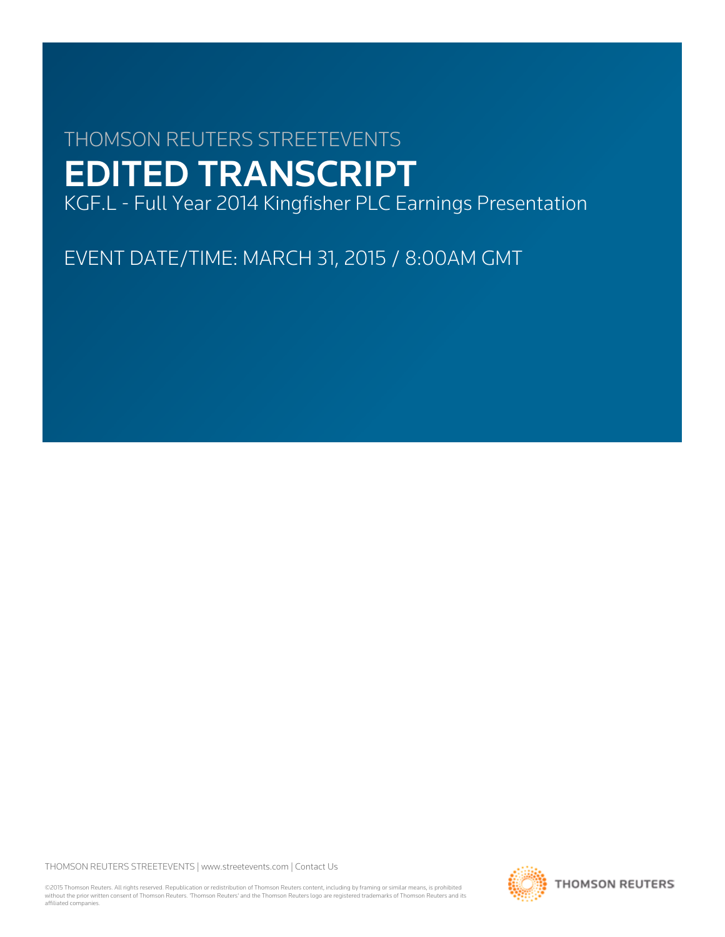# THOMSON REUTERS STREETEVENTS EDITED TRANSCRIPT

KGF.L - Full Year 2014 Kingfisher PLC Earnings Presentation

EVENT DATE/TIME: MARCH 31, 2015 / 8:00AM GMT

THOMSON REUTERS STREETEVENTS | [www.streetevents.com](http://www.streetevents.com) | [Contact Us](http://www010.streetevents.com/contact.asp)

©2015 Thomson Reuters. All rights reserved. Republication or redistribution of Thomson Reuters content, including by framing or similar means, is prohibited without the prior written consent of Thomson Reuters. 'Thomson Reuters' and the Thomson Reuters logo are registered trademarks of Thomson Reuters and its affiliated companies.

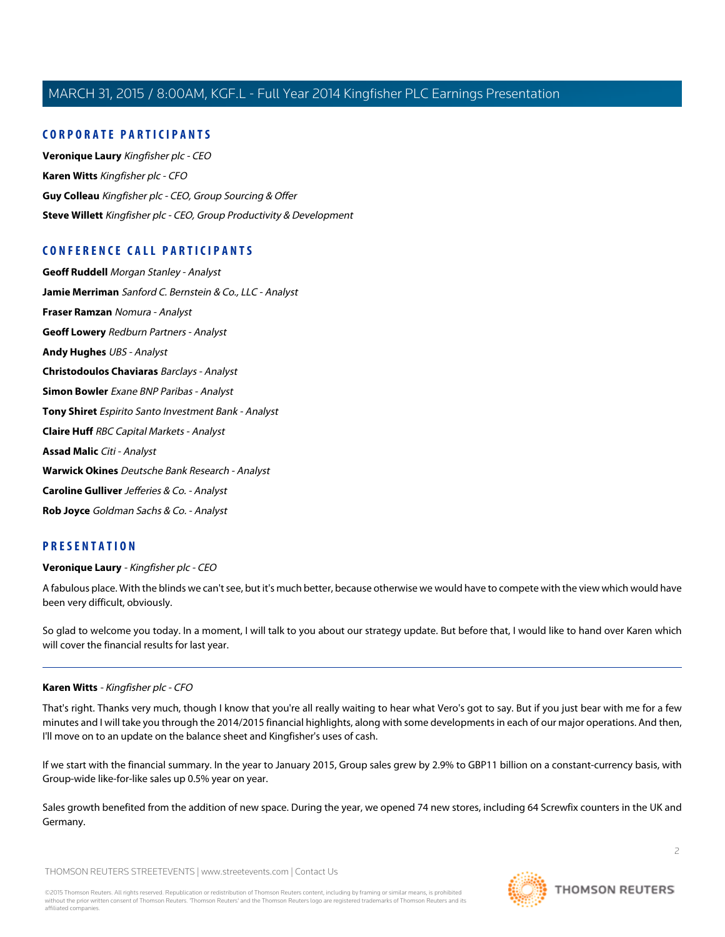# **CORPORATE PARTICIPANTS**

**[Veronique Laury](#page-1-0)** Kingfisher plc - CEO **[Karen Witts](#page-1-1)** Kingfisher plc - CFO **[Guy Colleau](#page-31-0)** Kingfisher plc - CEO, Group Sourcing & Offer **[Steve Willett](#page-22-0)** Kingfisher plc - CEO, Group Productivity & Development

# **CONFERENCE CALL PARTICIPANTS**

**[Geoff Ruddell](#page-19-0)** Morgan Stanley - Analyst **[Jamie Merriman](#page-20-0)** Sanford C. Bernstein & Co., LLC - Analyst **[Fraser Ramzan](#page-20-1)** Nomura - Analyst **[Geoff Lowery](#page-21-0)** Redburn Partners - Analyst **[Andy Hughes](#page-22-1)** UBS - Analyst **[Christodoulos Chaviaras](#page-23-0)** Barclays - Analyst **[Simon Bowler](#page-24-0)** Exane BNP Paribas - Analyst **[Tony Shiret](#page-25-0)** Espirito Santo Investment Bank - Analyst **[Claire Huff](#page-27-0)** RBC Capital Markets - Analyst **[Assad Malic](#page-28-0)** Citi - Analyst **[Warwick Okines](#page-28-1)** Deutsche Bank Research - Analyst **[Caroline Gulliver](#page-29-0)** Jefferies & Co. - Analyst **[Rob Joyce](#page-30-0)** Goldman Sachs & Co. - Analyst

# <span id="page-1-0"></span>**PRESENTATION**

# **Veronique Laury** - Kingfisher plc - CEO

A fabulous place. With the blinds we can't see, but it's much better, because otherwise we would have to compete with the view which would have been very difficult, obviously.

<span id="page-1-1"></span>So glad to welcome you today. In a moment, I will talk to you about our strategy update. But before that, I would like to hand over Karen which will cover the financial results for last year.

# **Karen Witts** - Kingfisher plc - CFO

That's right. Thanks very much, though I know that you're all really waiting to hear what Vero's got to say. But if you just bear with me for a few minutes and I will take you through the 2014/2015 financial highlights, along with some developments in each of our major operations. And then, I'll move on to an update on the balance sheet and Kingfisher's uses of cash.

If we start with the financial summary. In the year to January 2015, Group sales grew by 2.9% to GBP11 billion on a constant-currency basis, with Group-wide like-for-like sales up 0.5% year on year.

Sales growth benefited from the addition of new space. During the year, we opened 74 new stores, including 64 Screwfix counters in the UK and Germany.

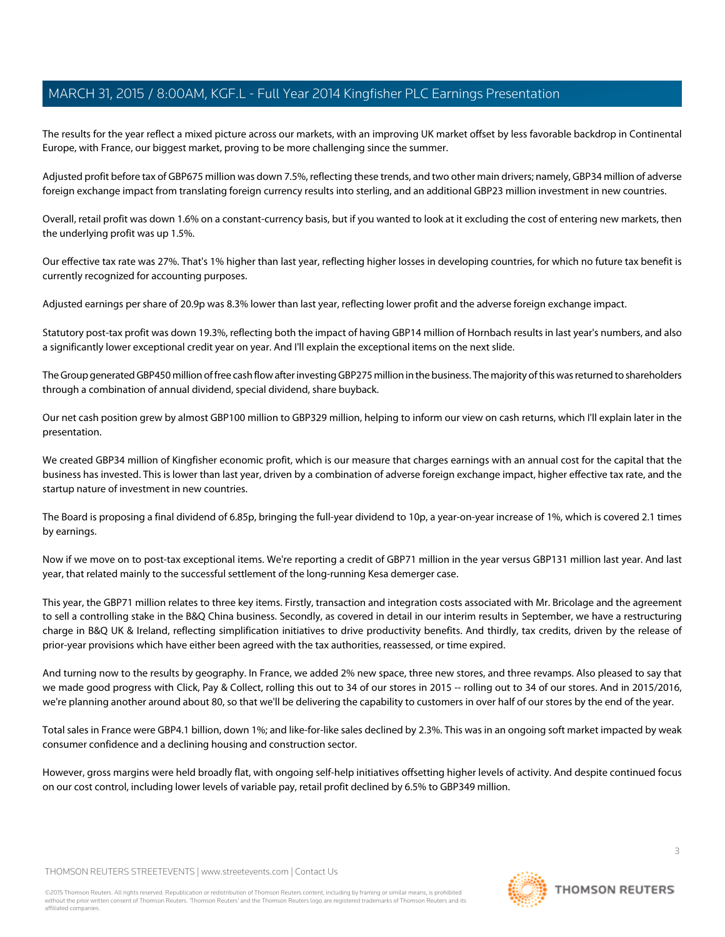The results for the year reflect a mixed picture across our markets, with an improving UK market offset by less favorable backdrop in Continental Europe, with France, our biggest market, proving to be more challenging since the summer.

Adjusted profit before tax of GBP675 million was down 7.5%, reflecting these trends, and two other main drivers; namely, GBP34 million of adverse foreign exchange impact from translating foreign currency results into sterling, and an additional GBP23 million investment in new countries.

Overall, retail profit was down 1.6% on a constant-currency basis, but if you wanted to look at it excluding the cost of entering new markets, then the underlying profit was up 1.5%.

Our effective tax rate was 27%. That's 1% higher than last year, reflecting higher losses in developing countries, for which no future tax benefit is currently recognized for accounting purposes.

Adjusted earnings per share of 20.9p was 8.3% lower than last year, reflecting lower profit and the adverse foreign exchange impact.

Statutory post-tax profit was down 19.3%, reflecting both the impact of having GBP14 million of Hornbach results in last year's numbers, and also a significantly lower exceptional credit year on year. And I'll explain the exceptional items on the next slide.

The Group generated GBP450 million of free cash flow after investing GBP275 million in the business. The majority of this was returned to shareholders through a combination of annual dividend, special dividend, share buyback.

Our net cash position grew by almost GBP100 million to GBP329 million, helping to inform our view on cash returns, which I'll explain later in the presentation.

We created GBP34 million of Kingfisher economic profit, which is our measure that charges earnings with an annual cost for the capital that the business has invested. This is lower than last year, driven by a combination of adverse foreign exchange impact, higher effective tax rate, and the startup nature of investment in new countries.

The Board is proposing a final dividend of 6.85p, bringing the full-year dividend to 10p, a year-on-year increase of 1%, which is covered 2.1 times by earnings.

Now if we move on to post-tax exceptional items. We're reporting a credit of GBP71 million in the year versus GBP131 million last year. And last year, that related mainly to the successful settlement of the long-running Kesa demerger case.

This year, the GBP71 million relates to three key items. Firstly, transaction and integration costs associated with Mr. Bricolage and the agreement to sell a controlling stake in the B&Q China business. Secondly, as covered in detail in our interim results in September, we have a restructuring charge in B&Q UK & Ireland, reflecting simplification initiatives to drive productivity benefits. And thirdly, tax credits, driven by the release of prior-year provisions which have either been agreed with the tax authorities, reassessed, or time expired.

And turning now to the results by geography. In France, we added 2% new space, three new stores, and three revamps. Also pleased to say that we made good progress with Click, Pay & Collect, rolling this out to 34 of our stores in 2015 -- rolling out to 34 of our stores. And in 2015/2016, we're planning another around about 80, so that we'll be delivering the capability to customers in over half of our stores by the end of the year.

Total sales in France were GBP4.1 billion, down 1%; and like-for-like sales declined by 2.3%. This was in an ongoing soft market impacted by weak consumer confidence and a declining housing and construction sector.

However, gross margins were held broadly flat, with ongoing self-help initiatives offsetting higher levels of activity. And despite continued focus on our cost control, including lower levels of variable pay, retail profit declined by 6.5% to GBP349 million.

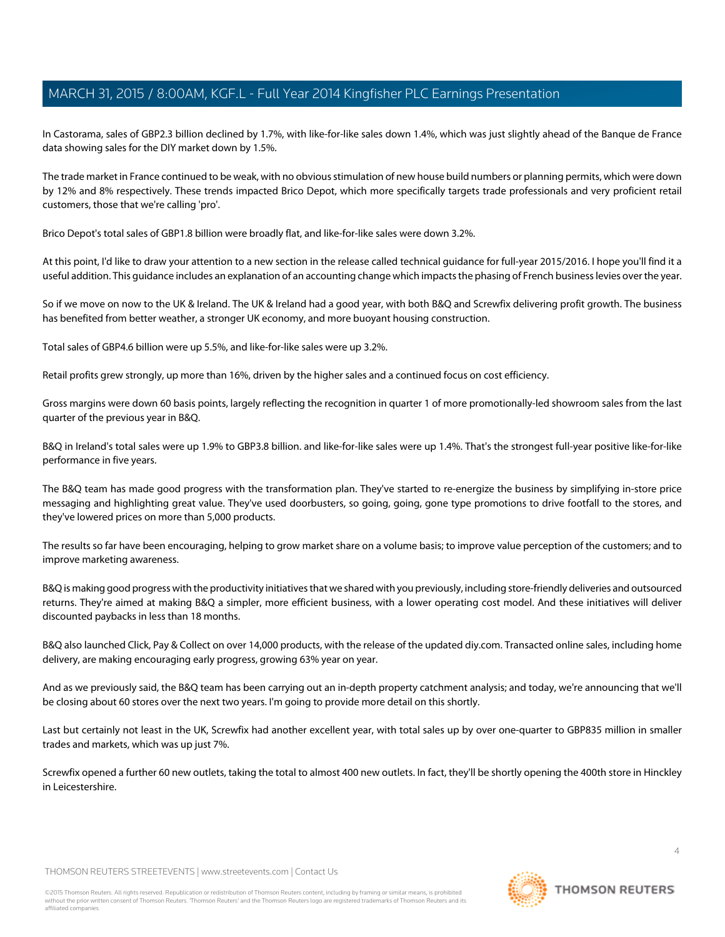In Castorama, sales of GBP2.3 billion declined by 1.7%, with like-for-like sales down 1.4%, which was just slightly ahead of the Banque de France data showing sales for the DIY market down by 1.5%.

The trade market in France continued to be weak, with no obvious stimulation of new house build numbers or planning permits, which were down by 12% and 8% respectively. These trends impacted Brico Depot, which more specifically targets trade professionals and very proficient retail customers, those that we're calling 'pro'.

Brico Depot's total sales of GBP1.8 billion were broadly flat, and like-for-like sales were down 3.2%.

At this point, I'd like to draw your attention to a new section in the release called technical guidance for full-year 2015/2016. I hope you'll find it a useful addition. This guidance includes an explanation of an accounting change which impacts the phasing of French business levies over the year.

So if we move on now to the UK & Ireland. The UK & Ireland had a good year, with both B&Q and Screwfix delivering profit growth. The business has benefited from better weather, a stronger UK economy, and more buoyant housing construction.

Total sales of GBP4.6 billion were up 5.5%, and like-for-like sales were up 3.2%.

Retail profits grew strongly, up more than 16%, driven by the higher sales and a continued focus on cost efficiency.

Gross margins were down 60 basis points, largely reflecting the recognition in quarter 1 of more promotionally-led showroom sales from the last quarter of the previous year in B&Q.

B&Q in Ireland's total sales were up 1.9% to GBP3.8 billion. and like-for-like sales were up 1.4%. That's the strongest full-year positive like-for-like performance in five years.

The B&Q team has made good progress with the transformation plan. They've started to re-energize the business by simplifying in-store price messaging and highlighting great value. They've used doorbusters, so going, going, gone type promotions to drive footfall to the stores, and they've lowered prices on more than 5,000 products.

The results so far have been encouraging, helping to grow market share on a volume basis; to improve value perception of the customers; and to improve marketing awareness.

B&Q is making good progress with the productivity initiatives that we shared with you previously, including store-friendly deliveries and outsourced returns. They're aimed at making B&Q a simpler, more efficient business, with a lower operating cost model. And these initiatives will deliver discounted paybacks in less than 18 months.

B&Q also launched Click, Pay & Collect on over 14,000 products, with the release of the updated diy.com. Transacted online sales, including home delivery, are making encouraging early progress, growing 63% year on year.

And as we previously said, the B&Q team has been carrying out an in-depth property catchment analysis; and today, we're announcing that we'll be closing about 60 stores over the next two years. I'm going to provide more detail on this shortly.

Last but certainly not least in the UK, Screwfix had another excellent year, with total sales up by over one-quarter to GBP835 million in smaller trades and markets, which was up just 7%.

Screwfix opened a further 60 new outlets, taking the total to almost 400 new outlets. In fact, they'll be shortly opening the 400th store in Hinckley in Leicestershire.

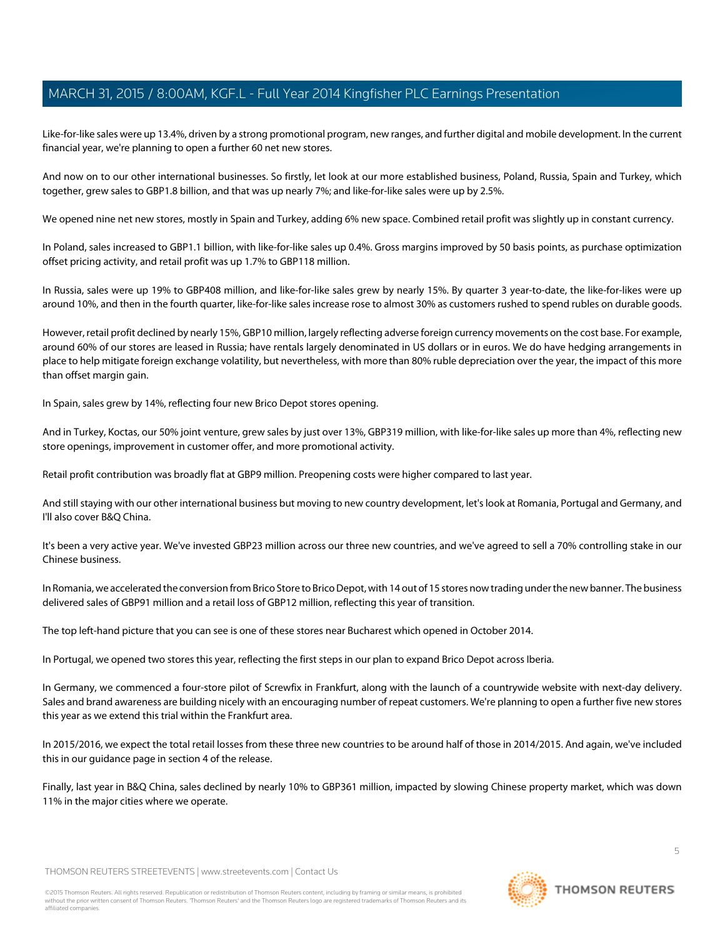Like-for-like sales were up 13.4%, driven by a strong promotional program, new ranges, and further digital and mobile development. In the current financial year, we're planning to open a further 60 net new stores.

And now on to our other international businesses. So firstly, let look at our more established business, Poland, Russia, Spain and Turkey, which together, grew sales to GBP1.8 billion, and that was up nearly 7%; and like-for-like sales were up by 2.5%.

We opened nine net new stores, mostly in Spain and Turkey, adding 6% new space. Combined retail profit was slightly up in constant currency.

In Poland, sales increased to GBP1.1 billion, with like-for-like sales up 0.4%. Gross margins improved by 50 basis points, as purchase optimization offset pricing activity, and retail profit was up 1.7% to GBP118 million.

In Russia, sales were up 19% to GBP408 million, and like-for-like sales grew by nearly 15%. By quarter 3 year-to-date, the like-for-likes were up around 10%, and then in the fourth quarter, like-for-like sales increase rose to almost 30% as customers rushed to spend rubles on durable goods.

However, retail profit declined by nearly 15%, GBP10 million, largely reflecting adverse foreign currency movements on the cost base. For example, around 60% of our stores are leased in Russia; have rentals largely denominated in US dollars or in euros. We do have hedging arrangements in place to help mitigate foreign exchange volatility, but nevertheless, with more than 80% ruble depreciation over the year, the impact of this more than offset margin gain.

In Spain, sales grew by 14%, reflecting four new Brico Depot stores opening.

And in Turkey, Koctas, our 50% joint venture, grew sales by just over 13%, GBP319 million, with like-for-like sales up more than 4%, reflecting new store openings, improvement in customer offer, and more promotional activity.

Retail profit contribution was broadly flat at GBP9 million. Preopening costs were higher compared to last year.

And still staying with our other international business but moving to new country development, let's look at Romania, Portugal and Germany, and I'll also cover B&Q China.

It's been a very active year. We've invested GBP23 million across our three new countries, and we've agreed to sell a 70% controlling stake in our Chinese business.

In Romania, we accelerated the conversion from Brico Store to Brico Depot, with 14 out of 15 stores now trading under the new banner. The business delivered sales of GBP91 million and a retail loss of GBP12 million, reflecting this year of transition.

The top left-hand picture that you can see is one of these stores near Bucharest which opened in October 2014.

In Portugal, we opened two stores this year, reflecting the first steps in our plan to expand Brico Depot across Iberia.

In Germany, we commenced a four-store pilot of Screwfix in Frankfurt, along with the launch of a countrywide website with next-day delivery. Sales and brand awareness are building nicely with an encouraging number of repeat customers. We're planning to open a further five new stores this year as we extend this trial within the Frankfurt area.

In 2015/2016, we expect the total retail losses from these three new countries to be around half of those in 2014/2015. And again, we've included this in our guidance page in section 4 of the release.

Finally, last year in B&Q China, sales declined by nearly 10% to GBP361 million, impacted by slowing Chinese property market, which was down 11% in the major cities where we operate.

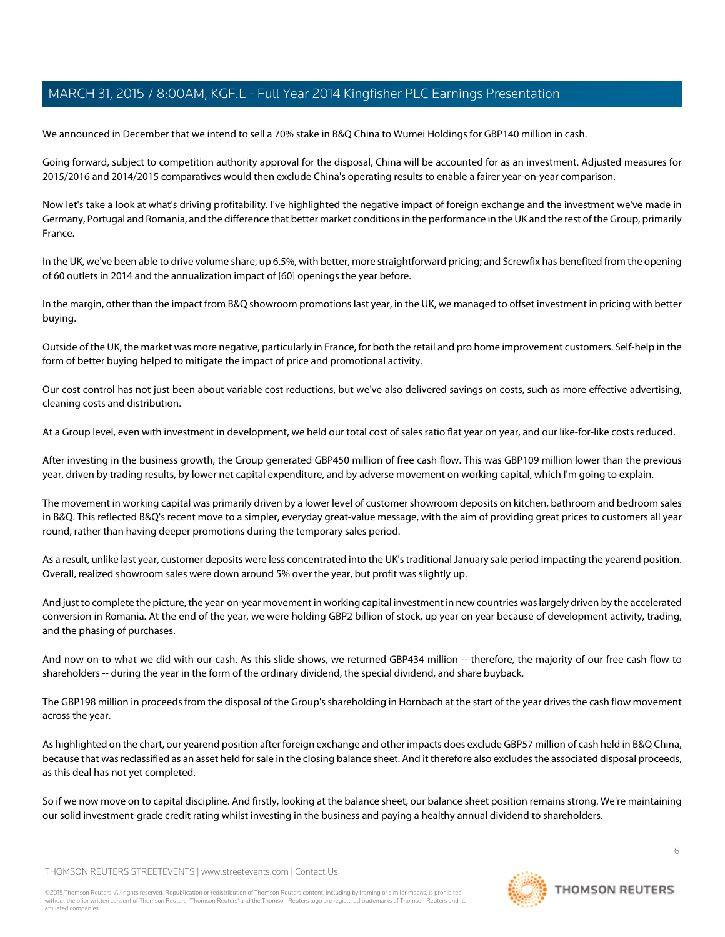We announced in December that we intend to sell a 70% stake in B&Q China to Wumei Holdings for GBP140 million in cash.

Going forward, subject to competition authority approval for the disposal, China will be accounted for as an investment. Adjusted measures for 2015/2016 and 2014/2015 comparatives would then exclude China's operating results to enable a fairer year-on-year comparison.

Now let's take a look at what's driving profitability. I've highlighted the negative impact of foreign exchange and the investment we've made in Germany, Portugal and Romania, and the difference that better market conditions in the performance in the UK and the rest of the Group, primarily France.

In the UK, we've been able to drive volume share, up 6.5%, with better, more straightforward pricing; and Screwfix has benefited from the opening of 60 outlets in 2014 and the annualization impact of [60] openings the year before.

In the margin, other than the impact from B&Q showroom promotions last year, in the UK, we managed to offset investment in pricing with better buying.

Outside of the UK, the market was more negative, particularly in France, for both the retail and pro home improvement customers. Self-help in the form of better buying helped to mitigate the impact of price and promotional activity.

Our cost control has not just been about variable cost reductions, but we've also delivered savings on costs, such as more effective advertising, cleaning costs and distribution.

At a Group level, even with investment in development, we held our total cost of sales ratio flat year on year, and our like-for-like costs reduced.

After investing in the business growth, the Group generated GBP450 million of free cash flow. This was GBP109 million lower than the previous year, driven by trading results, by lower net capital expenditure, and by adverse movement on working capital, which I'm going to explain.

The movement in working capital was primarily driven by a lower level of customer showroom deposits on kitchen, bathroom and bedroom sales in B&Q. This reflected B&Q's recent move to a simpler, everyday great-value message, with the aim of providing great prices to customers all year round, rather than having deeper promotions during the temporary sales period.

As a result, unlike last year, customer deposits were less concentrated into the UK's traditional January sale period impacting the yearend position. Overall, realized showroom sales were down around 5% over the year, but profit was slightly up.

And just to complete the picture, the year-on-year movement in working capital investment in new countries was largely driven by the accelerated conversion in Romania. At the end of the year, we were holding GBP2 billion of stock, up year on year because of development activity, trading, and the phasing of purchases.

And now on to what we did with our cash. As this slide shows, we returned GBP434 million -- therefore, the majority of our free cash flow to shareholders -- during the year in the form of the ordinary dividend, the special dividend, and share buyback.

The GBP198 million in proceeds from the disposal of the Group's shareholding in Hornbach at the start of the year drives the cash flow movement across the year.

As highlighted on the chart, our yearend position after foreign exchange and other impacts does exclude GBP57 million of cash held in B&Q China, because that was reclassified as an asset held for sale in the closing balance sheet. And it therefore also excludes the associated disposal proceeds, as this deal has not yet completed.

So if we now move on to capital discipline. And firstly, looking at the balance sheet, our balance sheet position remains strong. We're maintaining our solid investment-grade credit rating whilst investing in the business and paying a healthy annual dividend to shareholders.

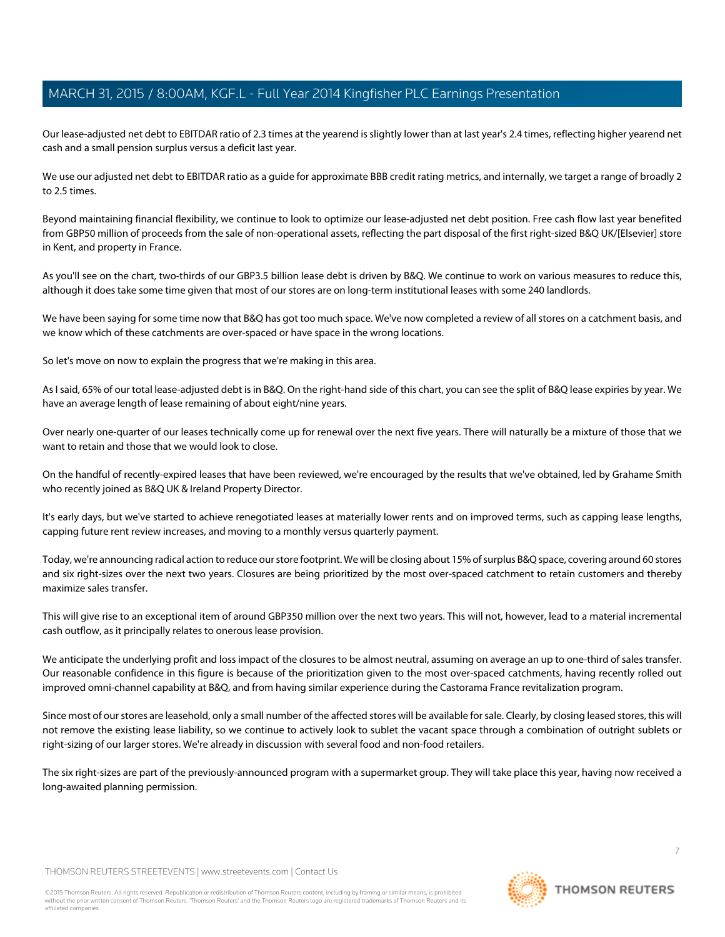Our lease-adjusted net debt to EBITDAR ratio of 2.3 times at the yearend is slightly lower than at last year's 2.4 times, reflecting higher yearend net cash and a small pension surplus versus a deficit last year.

We use our adjusted net debt to EBITDAR ratio as a guide for approximate BBB credit rating metrics, and internally, we target a range of broadly 2 to 2.5 times.

Beyond maintaining financial flexibility, we continue to look to optimize our lease-adjusted net debt position. Free cash flow last year benefited from GBP50 million of proceeds from the sale of non-operational assets, reflecting the part disposal of the first right-sized B&Q UK/[Elsevier] store in Kent, and property in France.

As you'll see on the chart, two-thirds of our GBP3.5 billion lease debt is driven by B&Q. We continue to work on various measures to reduce this, although it does take some time given that most of our stores are on long-term institutional leases with some 240 landlords.

We have been saying for some time now that B&Q has got too much space. We've now completed a review of all stores on a catchment basis, and we know which of these catchments are over-spaced or have space in the wrong locations.

So let's move on now to explain the progress that we're making in this area.

As I said, 65% of our total lease-adjusted debt is in B&Q. On the right-hand side of this chart, you can see the split of B&Q lease expiries by year. We have an average length of lease remaining of about eight/nine years.

Over nearly one-quarter of our leases technically come up for renewal over the next five years. There will naturally be a mixture of those that we want to retain and those that we would look to close.

On the handful of recently-expired leases that have been reviewed, we're encouraged by the results that we've obtained, led by Grahame Smith who recently joined as B&Q UK & Ireland Property Director.

It's early days, but we've started to achieve renegotiated leases at materially lower rents and on improved terms, such as capping lease lengths, capping future rent review increases, and moving to a monthly versus quarterly payment.

Today, we're announcing radical action to reduce our store footprint. We will be closing about 15% of surplus B&Q space, covering around 60 stores and six right-sizes over the next two years. Closures are being prioritized by the most over-spaced catchment to retain customers and thereby maximize sales transfer.

This will give rise to an exceptional item of around GBP350 million over the next two years. This will not, however, lead to a material incremental cash outflow, as it principally relates to onerous lease provision.

We anticipate the underlying profit and loss impact of the closures to be almost neutral, assuming on average an up to one-third of sales transfer. Our reasonable confidence in this figure is because of the prioritization given to the most over-spaced catchments, having recently rolled out improved omni-channel capability at B&Q, and from having similar experience during the Castorama France revitalization program.

Since most of our stores are leasehold, only a small number of the affected stores will be available for sale. Clearly, by closing leased stores, this will not remove the existing lease liability, so we continue to actively look to sublet the vacant space through a combination of outright sublets or right-sizing of our larger stores. We're already in discussion with several food and non-food retailers.

The six right-sizes are part of the previously-announced program with a supermarket group. They will take place this year, having now received a long-awaited planning permission.

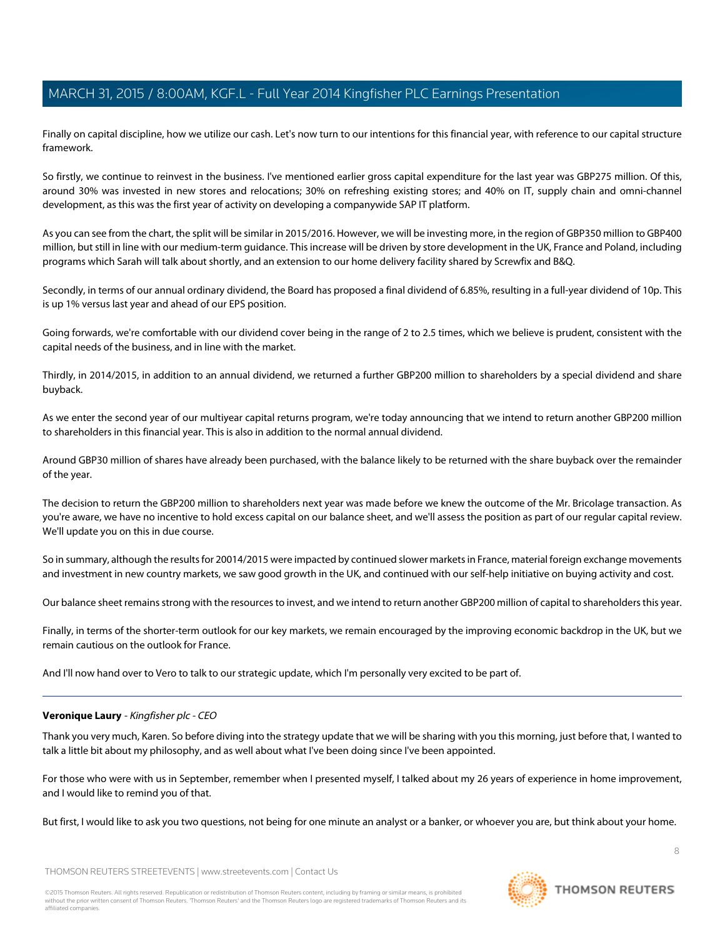Finally on capital discipline, how we utilize our cash. Let's now turn to our intentions for this financial year, with reference to our capital structure framework.

So firstly, we continue to reinvest in the business. I've mentioned earlier gross capital expenditure for the last year was GBP275 million. Of this, around 30% was invested in new stores and relocations; 30% on refreshing existing stores; and 40% on IT, supply chain and omni-channel development, as this was the first year of activity on developing a companywide SAP IT platform.

As you can see from the chart, the split will be similar in 2015/2016. However, we will be investing more, in the region of GBP350 million to GBP400 million, but still in line with our medium-term guidance. This increase will be driven by store development in the UK, France and Poland, including programs which Sarah will talk about shortly, and an extension to our home delivery facility shared by Screwfix and B&Q.

Secondly, in terms of our annual ordinary dividend, the Board has proposed a final dividend of 6.85%, resulting in a full-year dividend of 10p. This is up 1% versus last year and ahead of our EPS position.

Going forwards, we're comfortable with our dividend cover being in the range of 2 to 2.5 times, which we believe is prudent, consistent with the capital needs of the business, and in line with the market.

Thirdly, in 2014/2015, in addition to an annual dividend, we returned a further GBP200 million to shareholders by a special dividend and share buyback.

As we enter the second year of our multiyear capital returns program, we're today announcing that we intend to return another GBP200 million to shareholders in this financial year. This is also in addition to the normal annual dividend.

Around GBP30 million of shares have already been purchased, with the balance likely to be returned with the share buyback over the remainder of the year.

The decision to return the GBP200 million to shareholders next year was made before we knew the outcome of the Mr. Bricolage transaction. As you're aware, we have no incentive to hold excess capital on our balance sheet, and we'll assess the position as part of our regular capital review. We'll update you on this in due course.

So in summary, although the results for 20014/2015 were impacted by continued slower markets in France, material foreign exchange movements and investment in new country markets, we saw good growth in the UK, and continued with our self-help initiative on buying activity and cost.

Our balance sheet remains strong with the resources to invest, and we intend to return another GBP200 million of capital to shareholders this year.

Finally, in terms of the shorter-term outlook for our key markets, we remain encouraged by the improving economic backdrop in the UK, but we remain cautious on the outlook for France.

And I'll now hand over to Vero to talk to our strategic update, which I'm personally very excited to be part of.

# **Veronique Laury** - Kingfisher plc - CEO

Thank you very much, Karen. So before diving into the strategy update that we will be sharing with you this morning, just before that, I wanted to talk a little bit about my philosophy, and as well about what I've been doing since I've been appointed.

For those who were with us in September, remember when I presented myself, I talked about my 26 years of experience in home improvement, and I would like to remind you of that.

But first, I would like to ask you two questions, not being for one minute an analyst or a banker, or whoever you are, but think about your home.

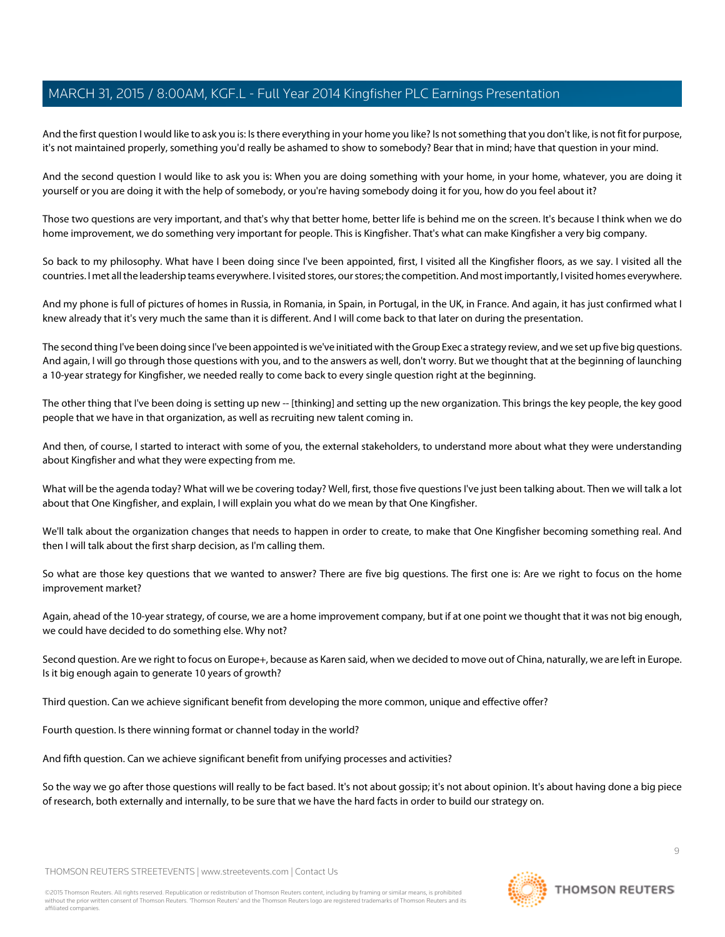And the first question I would like to ask you is: Is there everything in your home you like? Is not something that you don't like, is not fit for purpose, it's not maintained properly, something you'd really be ashamed to show to somebody? Bear that in mind; have that question in your mind.

And the second question I would like to ask you is: When you are doing something with your home, in your home, whatever, you are doing it yourself or you are doing it with the help of somebody, or you're having somebody doing it for you, how do you feel about it?

Those two questions are very important, and that's why that better home, better life is behind me on the screen. It's because I think when we do home improvement, we do something very important for people. This is Kingfisher. That's what can make Kingfisher a very big company.

So back to my philosophy. What have I been doing since I've been appointed, first, I visited all the Kingfisher floors, as we say. I visited all the countries. I met all the leadership teams everywhere. I visited stores, our stores; the competition. And most importantly, I visited homes everywhere.

And my phone is full of pictures of homes in Russia, in Romania, in Spain, in Portugal, in the UK, in France. And again, it has just confirmed what I knew already that it's very much the same than it is different. And I will come back to that later on during the presentation.

The second thing I've been doing since I've been appointed is we've initiated with the Group Exec a strategy review, and we set up five big questions. And again, I will go through those questions with you, and to the answers as well, don't worry. But we thought that at the beginning of launching a 10-year strategy for Kingfisher, we needed really to come back to every single question right at the beginning.

The other thing that I've been doing is setting up new -- [thinking] and setting up the new organization. This brings the key people, the key good people that we have in that organization, as well as recruiting new talent coming in.

And then, of course, I started to interact with some of you, the external stakeholders, to understand more about what they were understanding about Kingfisher and what they were expecting from me.

What will be the agenda today? What will we be covering today? Well, first, those five questions I've just been talking about. Then we will talk a lot about that One Kingfisher, and explain, I will explain you what do we mean by that One Kingfisher.

We'll talk about the organization changes that needs to happen in order to create, to make that One Kingfisher becoming something real. And then I will talk about the first sharp decision, as I'm calling them.

So what are those key questions that we wanted to answer? There are five big questions. The first one is: Are we right to focus on the home improvement market?

Again, ahead of the 10-year strategy, of course, we are a home improvement company, but if at one point we thought that it was not big enough, we could have decided to do something else. Why not?

Second question. Are we right to focus on Europe+, because as Karen said, when we decided to move out of China, naturally, we are left in Europe. Is it big enough again to generate 10 years of growth?

Third question. Can we achieve significant benefit from developing the more common, unique and effective offer?

Fourth question. Is there winning format or channel today in the world?

And fifth question. Can we achieve significant benefit from unifying processes and activities?

So the way we go after those questions will really to be fact based. It's not about gossip; it's not about opinion. It's about having done a big piece of research, both externally and internally, to be sure that we have the hard facts in order to build our strategy on.

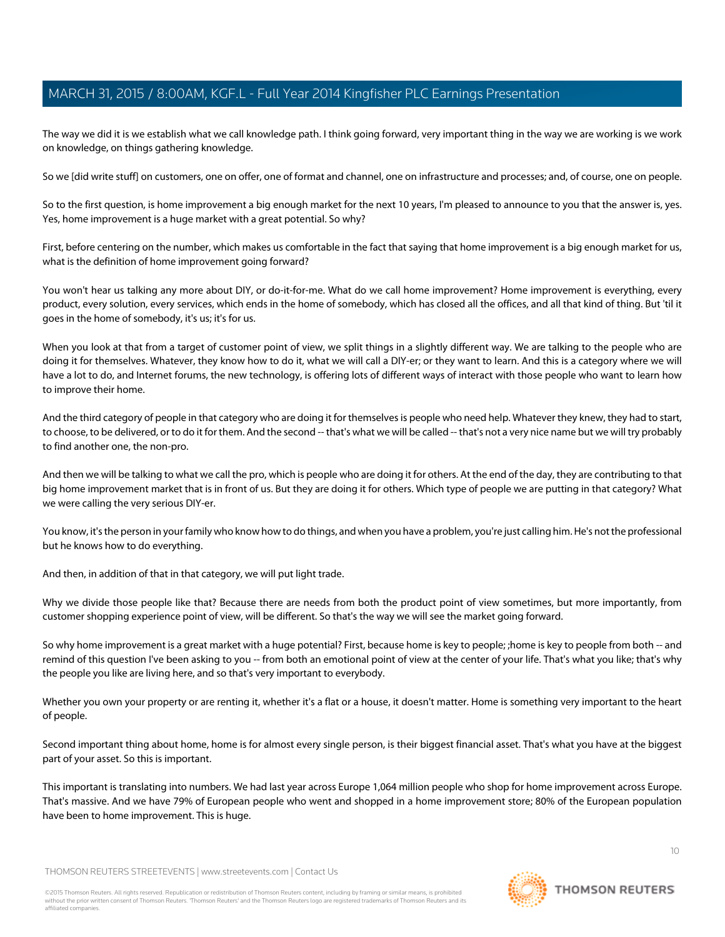The way we did it is we establish what we call knowledge path. I think going forward, very important thing in the way we are working is we work on knowledge, on things gathering knowledge.

So we [did write stuff] on customers, one on offer, one of format and channel, one on infrastructure and processes; and, of course, one on people.

So to the first question, is home improvement a big enough market for the next 10 years, I'm pleased to announce to you that the answer is, yes. Yes, home improvement is a huge market with a great potential. So why?

First, before centering on the number, which makes us comfortable in the fact that saying that home improvement is a big enough market for us, what is the definition of home improvement going forward?

You won't hear us talking any more about DIY, or do-it-for-me. What do we call home improvement? Home improvement is everything, every product, every solution, every services, which ends in the home of somebody, which has closed all the offices, and all that kind of thing. But 'til it goes in the home of somebody, it's us; it's for us.

When you look at that from a target of customer point of view, we split things in a slightly different way. We are talking to the people who are doing it for themselves. Whatever, they know how to do it, what we will call a DIY-er; or they want to learn. And this is a category where we will have a lot to do, and Internet forums, the new technology, is offering lots of different ways of interact with those people who want to learn how to improve their home.

And the third category of people in that category who are doing it for themselves is people who need help. Whatever they knew, they had to start, to choose, to be delivered, or to do it for them. And the second -- that's what we will be called -- that's not a very nice name but we will try probably to find another one, the non-pro.

And then we will be talking to what we call the pro, which is people who are doing it for others. At the end of the day, they are contributing to that big home improvement market that is in front of us. But they are doing it for others. Which type of people we are putting in that category? What we were calling the very serious DIY-er.

You know, it's the person in your family who know how to do things, and when you have a problem, you're just calling him. He's not the professional but he knows how to do everything.

And then, in addition of that in that category, we will put light trade.

Why we divide those people like that? Because there are needs from both the product point of view sometimes, but more importantly, from customer shopping experience point of view, will be different. So that's the way we will see the market going forward.

So why home improvement is a great market with a huge potential? First, because home is key to people; ;home is key to people from both -- and remind of this question I've been asking to you -- from both an emotional point of view at the center of your life. That's what you like; that's why the people you like are living here, and so that's very important to everybody.

Whether you own your property or are renting it, whether it's a flat or a house, it doesn't matter. Home is something very important to the heart of people.

Second important thing about home, home is for almost every single person, is their biggest financial asset. That's what you have at the biggest part of your asset. So this is important.

This important is translating into numbers. We had last year across Europe 1,064 million people who shop for home improvement across Europe. That's massive. And we have 79% of European people who went and shopped in a home improvement store; 80% of the European population have been to home improvement. This is huge.

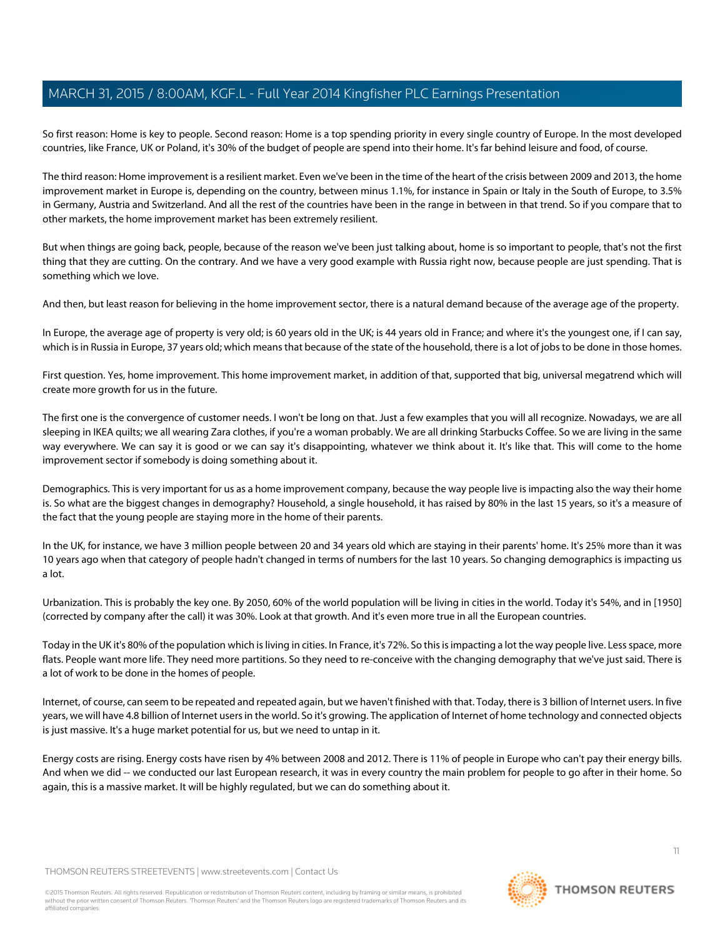So first reason: Home is key to people. Second reason: Home is a top spending priority in every single country of Europe. In the most developed countries, like France, UK or Poland, it's 30% of the budget of people are spend into their home. It's far behind leisure and food, of course.

The third reason: Home improvement is a resilient market. Even we've been in the time of the heart of the crisis between 2009 and 2013, the home improvement market in Europe is, depending on the country, between minus 1.1%, for instance in Spain or Italy in the South of Europe, to 3.5% in Germany, Austria and Switzerland. And all the rest of the countries have been in the range in between in that trend. So if you compare that to other markets, the home improvement market has been extremely resilient.

But when things are going back, people, because of the reason we've been just talking about, home is so important to people, that's not the first thing that they are cutting. On the contrary. And we have a very good example with Russia right now, because people are just spending. That is something which we love.

And then, but least reason for believing in the home improvement sector, there is a natural demand because of the average age of the property.

In Europe, the average age of property is very old; is 60 years old in the UK; is 44 years old in France; and where it's the youngest one, if I can say, which is in Russia in Europe, 37 years old; which means that because of the state of the household, there is a lot of jobs to be done in those homes.

First question. Yes, home improvement. This home improvement market, in addition of that, supported that big, universal megatrend which will create more growth for us in the future.

The first one is the convergence of customer needs. I won't be long on that. Just a few examples that you will all recognize. Nowadays, we are all sleeping in IKEA quilts; we all wearing Zara clothes, if you're a woman probably. We are all drinking Starbucks Coffee. So we are living in the same way everywhere. We can say it is good or we can say it's disappointing, whatever we think about it. It's like that. This will come to the home improvement sector if somebody is doing something about it.

Demographics. This is very important for us as a home improvement company, because the way people live is impacting also the way their home is. So what are the biggest changes in demography? Household, a single household, it has raised by 80% in the last 15 years, so it's a measure of the fact that the young people are staying more in the home of their parents.

In the UK, for instance, we have 3 million people between 20 and 34 years old which are staying in their parents' home. It's 25% more than it was 10 years ago when that category of people hadn't changed in terms of numbers for the last 10 years. So changing demographics is impacting us a lot.

Urbanization. This is probably the key one. By 2050, 60% of the world population will be living in cities in the world. Today it's 54%, and in [1950] (corrected by company after the call) it was 30%. Look at that growth. And it's even more true in all the European countries.

Today in the UK it's 80% of the population which is living in cities. In France, it's 72%. So this is impacting a lot the way people live. Less space, more flats. People want more life. They need more partitions. So they need to re-conceive with the changing demography that we've just said. There is a lot of work to be done in the homes of people.

Internet, of course, can seem to be repeated and repeated again, but we haven't finished with that. Today, there is 3 billion of Internet users. In five years, we will have 4.8 billion of Internet users in the world. So it's growing. The application of Internet of home technology and connected objects is just massive. It's a huge market potential for us, but we need to untap in it.

Energy costs are rising. Energy costs have risen by 4% between 2008 and 2012. There is 11% of people in Europe who can't pay their energy bills. And when we did -- we conducted our last European research, it was in every country the main problem for people to go after in their home. So again, this is a massive market. It will be highly regulated, but we can do something about it.

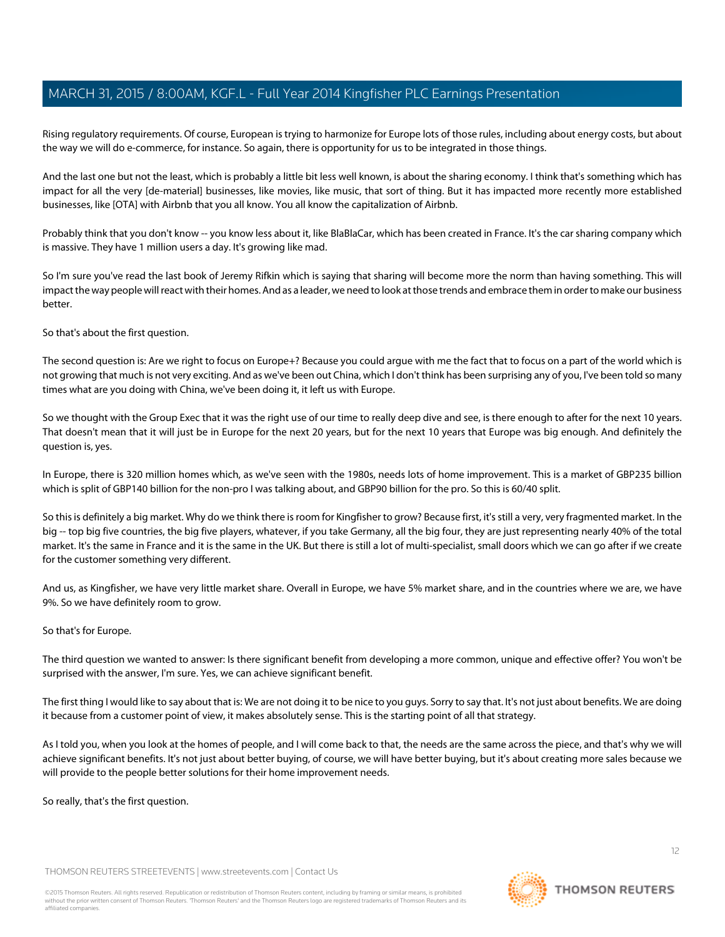Rising regulatory requirements. Of course, European is trying to harmonize for Europe lots of those rules, including about energy costs, but about the way we will do e-commerce, for instance. So again, there is opportunity for us to be integrated in those things.

And the last one but not the least, which is probably a little bit less well known, is about the sharing economy. I think that's something which has impact for all the very [de-material] businesses, like movies, like music, that sort of thing. But it has impacted more recently more established businesses, like [OTA] with Airbnb that you all know. You all know the capitalization of Airbnb.

Probably think that you don't know -- you know less about it, like BlaBlaCar, which has been created in France. It's the car sharing company which is massive. They have 1 million users a day. It's growing like mad.

So I'm sure you've read the last book of Jeremy Rifkin which is saying that sharing will become more the norm than having something. This will impact the way people will react with their homes. And as a leader, we need to look at those trends and embrace them in order to make our business better.

So that's about the first question.

The second question is: Are we right to focus on Europe+? Because you could arque with me the fact that to focus on a part of the world which is not growing that much is not very exciting. And as we've been out China, which I don't think has been surprising any of you, I've been told so many times what are you doing with China, we've been doing it, it left us with Europe.

So we thought with the Group Exec that it was the right use of our time to really deep dive and see, is there enough to after for the next 10 years. That doesn't mean that it will just be in Europe for the next 20 years, but for the next 10 years that Europe was big enough. And definitely the question is, yes.

In Europe, there is 320 million homes which, as we've seen with the 1980s, needs lots of home improvement. This is a market of GBP235 billion which is split of GBP140 billion for the non-pro I was talking about, and GBP90 billion for the pro. So this is 60/40 split.

So this is definitely a big market. Why do we think there is room for Kingfisher to grow? Because first, it's still a very, very fragmented market. In the big -- top big five countries, the big five players, whatever, if you take Germany, all the big four, they are just representing nearly 40% of the total market. It's the same in France and it is the same in the UK. But there is still a lot of multi-specialist, small doors which we can go after if we create for the customer something very different.

And us, as Kingfisher, we have very little market share. Overall in Europe, we have 5% market share, and in the countries where we are, we have 9%. So we have definitely room to grow.

# So that's for Europe.

The third question we wanted to answer: Is there significant benefit from developing a more common, unique and effective offer? You won't be surprised with the answer, I'm sure. Yes, we can achieve significant benefit.

The first thing I would like to say about that is: We are not doing it to be nice to you guys. Sorry to say that. It's not just about benefits. We are doing it because from a customer point of view, it makes absolutely sense. This is the starting point of all that strategy.

As I told you, when you look at the homes of people, and I will come back to that, the needs are the same across the piece, and that's why we will achieve significant benefits. It's not just about better buying, of course, we will have better buying, but it's about creating more sales because we will provide to the people better solutions for their home improvement needs.

So really, that's the first question.

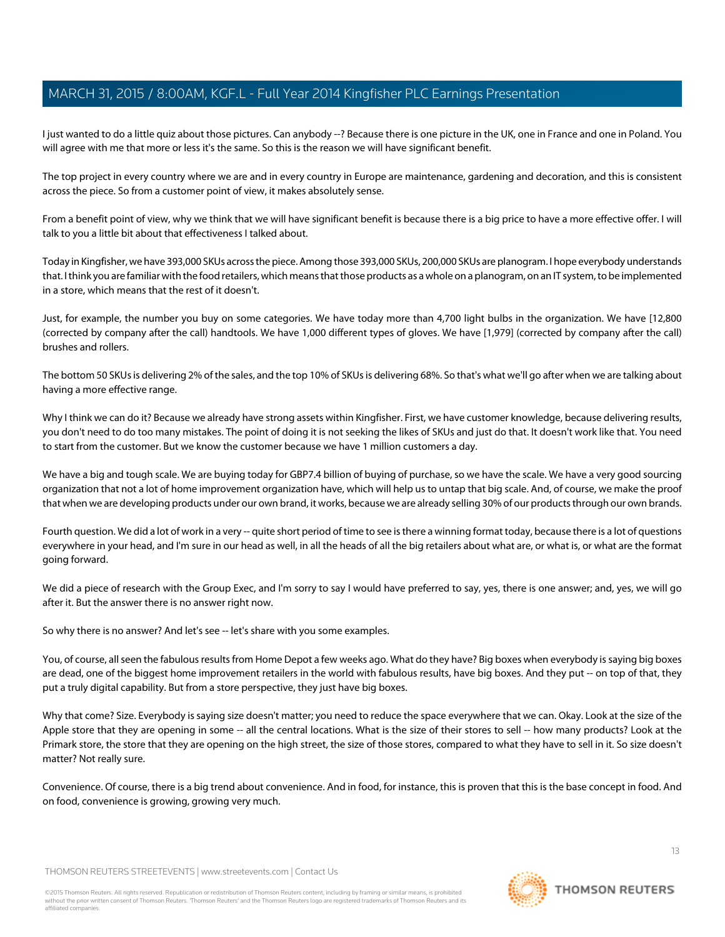I just wanted to do a little quiz about those pictures. Can anybody --? Because there is one picture in the UK, one in France and one in Poland. You will agree with me that more or less it's the same. So this is the reason we will have significant benefit.

The top project in every country where we are and in every country in Europe are maintenance, gardening and decoration, and this is consistent across the piece. So from a customer point of view, it makes absolutely sense.

From a benefit point of view, why we think that we will have significant benefit is because there is a big price to have a more effective offer. I will talk to you a little bit about that effectiveness I talked about.

Today in Kingfisher, we have 393,000 SKUs across the piece. Among those 393,000 SKUs, 200,000 SKUs are planogram. I hope everybody understands that. I think you are familiar with the food retailers, which means that those products as a whole on a planogram, on an IT system, to be implemented in a store, which means that the rest of it doesn't.

Just, for example, the number you buy on some categories. We have today more than 4,700 light bulbs in the organization. We have [12,800 (corrected by company after the call) handtools. We have 1,000 different types of gloves. We have [1,979] (corrected by company after the call) brushes and rollers.

The bottom 50 SKUs is delivering 2% of the sales, and the top 10% of SKUs is delivering 68%. So that's what we'll go after when we are talking about having a more effective range.

Why I think we can do it? Because we already have strong assets within Kingfisher. First, we have customer knowledge, because delivering results, you don't need to do too many mistakes. The point of doing it is not seeking the likes of SKUs and just do that. It doesn't work like that. You need to start from the customer. But we know the customer because we have 1 million customers a day.

We have a big and tough scale. We are buying today for GBP7.4 billion of buying of purchase, so we have the scale. We have a very good sourcing organization that not a lot of home improvement organization have, which will help us to untap that big scale. And, of course, we make the proof that when we are developing products under our own brand, it works, because we are already selling 30% of our products through our own brands.

Fourth question. We did a lot of work in a very -- quite short period of time to see is there a winning format today, because there is a lot of questions everywhere in your head, and I'm sure in our head as well, in all the heads of all the big retailers about what are, or what is, or what are the format going forward.

We did a piece of research with the Group Exec, and I'm sorry to say I would have preferred to say, yes, there is one answer; and, yes, we will go after it. But the answer there is no answer right now.

So why there is no answer? And let's see -- let's share with you some examples.

You, of course, all seen the fabulous results from Home Depot a few weeks ago. What do they have? Big boxes when everybody is saying big boxes are dead, one of the biggest home improvement retailers in the world with fabulous results, have big boxes. And they put -- on top of that, they put a truly digital capability. But from a store perspective, they just have big boxes.

Why that come? Size. Everybody is saying size doesn't matter; you need to reduce the space everywhere that we can. Okay. Look at the size of the Apple store that they are opening in some -- all the central locations. What is the size of their stores to sell -- how many products? Look at the Primark store, the store that they are opening on the high street, the size of those stores, compared to what they have to sell in it. So size doesn't matter? Not really sure.

Convenience. Of course, there is a big trend about convenience. And in food, for instance, this is proven that this is the base concept in food. And on food, convenience is growing, growing very much.

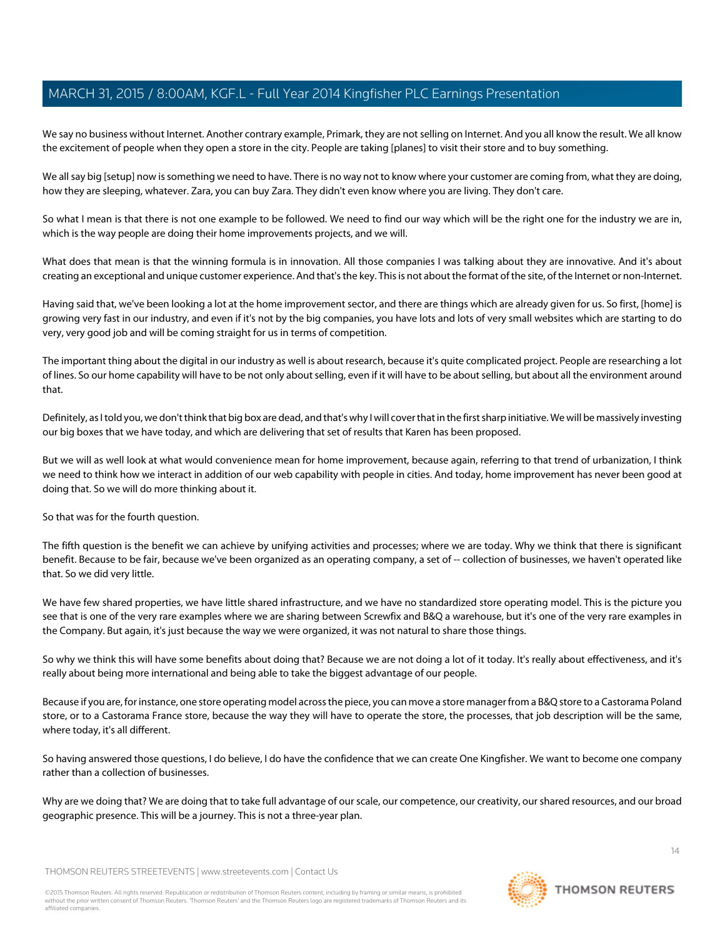We say no business without Internet. Another contrary example, Primark, they are not selling on Internet. And you all know the result. We all know the excitement of people when they open a store in the city. People are taking [planes] to visit their store and to buy something.

We all say big [setup] now is something we need to have. There is no way not to know where your customer are coming from, what they are doing, how they are sleeping, whatever. Zara, you can buy Zara. They didn't even know where you are living. They don't care.

So what I mean is that there is not one example to be followed. We need to find our way which will be the right one for the industry we are in, which is the way people are doing their home improvements projects, and we will.

What does that mean is that the winning formula is in innovation. All those companies I was talking about they are innovative. And it's about creating an exceptional and unique customer experience. And that's the key. This is not about the format of the site, of the Internet or non-Internet.

Having said that, we've been looking a lot at the home improvement sector, and there are things which are already given for us. So first, [home] is growing very fast in our industry, and even if it's not by the big companies, you have lots and lots of very small websites which are starting to do very, very good job and will be coming straight for us in terms of competition.

The important thing about the digital in our industry as well is about research, because it's quite complicated project. People are researching a lot of lines. So our home capability will have to be not only about selling, even if it will have to be about selling, but about all the environment around that.

Definitely, as I told you, we don't think that big box are dead, and that's why I will cover that in the first sharp initiative. We will be massively investing our big boxes that we have today, and which are delivering that set of results that Karen has been proposed.

But we will as well look at what would convenience mean for home improvement, because again, referring to that trend of urbanization, I think we need to think how we interact in addition of our web capability with people in cities. And today, home improvement has never been good at doing that. So we will do more thinking about it.

So that was for the fourth question.

The fifth question is the benefit we can achieve by unifying activities and processes; where we are today. Why we think that there is significant benefit. Because to be fair, because we've been organized as an operating company, a set of -- collection of businesses, we haven't operated like that. So we did very little.

We have few shared properties, we have little shared infrastructure, and we have no standardized store operating model. This is the picture you see that is one of the very rare examples where we are sharing between Screwfix and B&Q a warehouse, but it's one of the very rare examples in the Company. But again, it's just because the way we were organized, it was not natural to share those things.

So why we think this will have some benefits about doing that? Because we are not doing a lot of it today. It's really about effectiveness, and it's really about being more international and being able to take the biggest advantage of our people.

Because if you are, for instance, one store operating model across the piece, you can move a store manager from a B&Q store to a Castorama Poland store, or to a Castorama France store, because the way they will have to operate the store, the processes, that job description will be the same, where today, it's all different.

So having answered those questions, I do believe, I do have the confidence that we can create One Kingfisher. We want to become one company rather than a collection of businesses.

Why are we doing that? We are doing that to take full advantage of our scale, our competence, our creativity, our shared resources, and our broad geographic presence. This will be a journey. This is not a three-year plan.

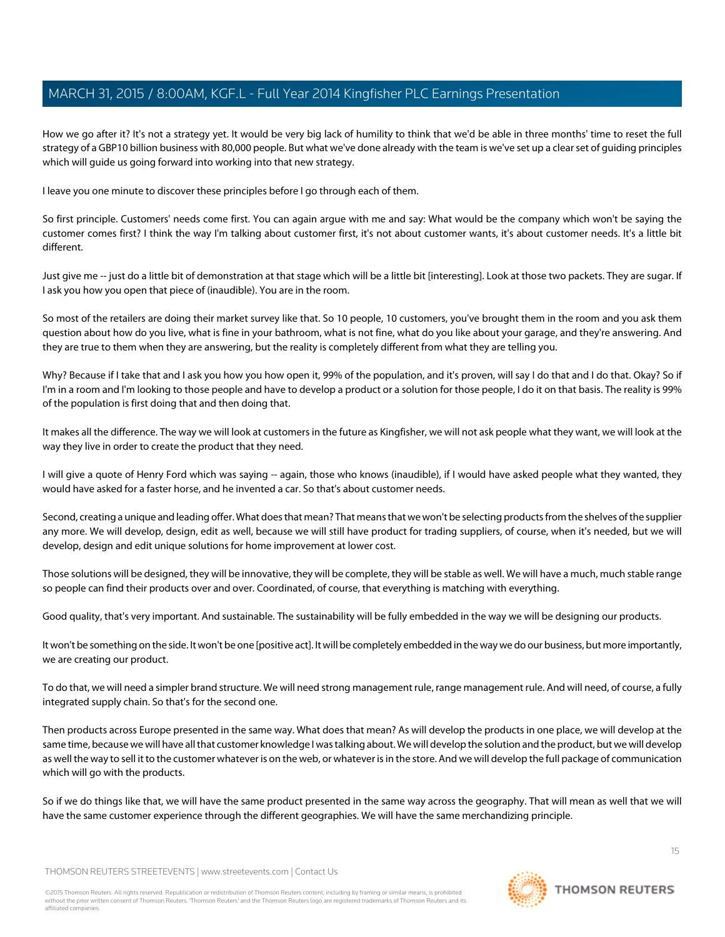How we go after it? It's not a strategy yet. It would be very big lack of humility to think that we'd be able in three months' time to reset the full strategy of a GBP10 billion business with 80,000 people. But what we've done already with the team is we've set up a clear set of guiding principles which will guide us going forward into working into that new strategy.

I leave you one minute to discover these principles before I go through each of them.

So first principle. Customers' needs come first. You can again argue with me and say: What would be the company which won't be saying the customer comes first? I think the way I'm talking about customer first, it's not about customer wants, it's about customer needs. It's a little bit different.

Just give me -- just do a little bit of demonstration at that stage which will be a little bit [interesting]. Look at those two packets. They are sugar. If I ask you how you open that piece of (inaudible). You are in the room.

So most of the retailers are doing their market survey like that. So 10 people, 10 customers, you've brought them in the room and you ask them question about how do you live, what is fine in your bathroom, what is not fine, what do you like about your garage, and they're answering. And they are true to them when they are answering, but the reality is completely different from what they are telling you.

Why? Because if I take that and I ask you how you how open it, 99% of the population, and it's proven, will say I do that and I do that. Okay? So if I'm in a room and I'm looking to those people and have to develop a product or a solution for those people, I do it on that basis. The reality is 99% of the population is first doing that and then doing that.

It makes all the difference. The way we will look at customers in the future as Kingfisher, we will not ask people what they want, we will look at the way they live in order to create the product that they need.

I will give a quote of Henry Ford which was saying -- again, those who knows (inaudible), if I would have asked people what they wanted, they would have asked for a faster horse, and he invented a car. So that's about customer needs.

Second, creating a unique and leading offer. What does that mean? That means that we won't be selecting products from the shelves of the supplier any more. We will develop, design, edit as well, because we will still have product for trading suppliers, of course, when it's needed, but we will develop, design and edit unique solutions for home improvement at lower cost.

Those solutions will be designed, they will be innovative, they will be complete, they will be stable as well. We will have a much, much stable range so people can find their products over and over. Coordinated, of course, that everything is matching with everything.

Good quality, that's very important. And sustainable. The sustainability will be fully embedded in the way we will be designing our products.

It won't be something on the side. It won't be one [positive act]. It will be completely embedded in the way we do our business, but more importantly, we are creating our product.

To do that, we will need a simpler brand structure. We will need strong management rule, range management rule. And will need, of course, a fully integrated supply chain. So that's for the second one.

Then products across Europe presented in the same way. What does that mean? As will develop the products in one place, we will develop at the same time, because we will have all that customer knowledge I was talking about. We will develop the solution and the product, but we will develop as well the way to sell it to the customer whatever is on the web, or whatever is in the store. And we will develop the full package of communication which will go with the products.

So if we do things like that, we will have the same product presented in the same way across the geography. That will mean as well that we will have the same customer experience through the different geographies. We will have the same merchandizing principle.

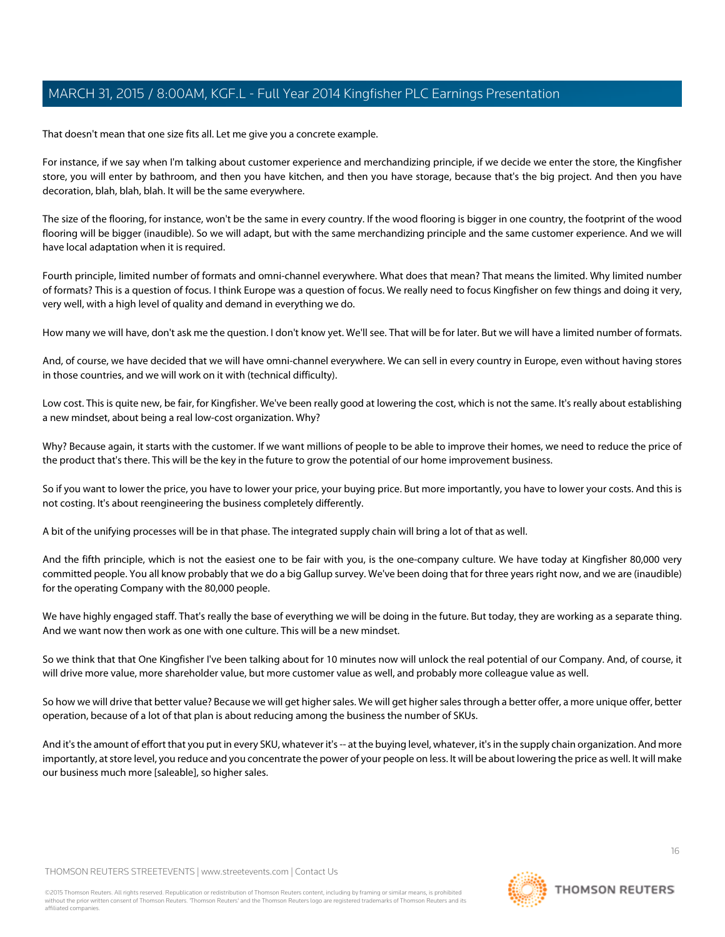That doesn't mean that one size fits all. Let me give you a concrete example.

For instance, if we say when I'm talking about customer experience and merchandizing principle, if we decide we enter the store, the Kingfisher store, you will enter by bathroom, and then you have kitchen, and then you have storage, because that's the big project. And then you have decoration, blah, blah, blah. It will be the same everywhere.

The size of the flooring, for instance, won't be the same in every country. If the wood flooring is bigger in one country, the footprint of the wood flooring will be bigger (inaudible). So we will adapt, but with the same merchandizing principle and the same customer experience. And we will have local adaptation when it is required.

Fourth principle, limited number of formats and omni-channel everywhere. What does that mean? That means the limited. Why limited number of formats? This is a question of focus. I think Europe was a question of focus. We really need to focus Kingfisher on few things and doing it very, very well, with a high level of quality and demand in everything we do.

How many we will have, don't ask me the question. I don't know yet. We'll see. That will be for later. But we will have a limited number of formats.

And, of course, we have decided that we will have omni-channel everywhere. We can sell in every country in Europe, even without having stores in those countries, and we will work on it with (technical difficulty).

Low cost. This is quite new, be fair, for Kingfisher. We've been really good at lowering the cost, which is not the same. It's really about establishing a new mindset, about being a real low-cost organization. Why?

Why? Because again, it starts with the customer. If we want millions of people to be able to improve their homes, we need to reduce the price of the product that's there. This will be the key in the future to grow the potential of our home improvement business.

So if you want to lower the price, you have to lower your price, your buying price. But more importantly, you have to lower your costs. And this is not costing. It's about reengineering the business completely differently.

A bit of the unifying processes will be in that phase. The integrated supply chain will bring a lot of that as well.

And the fifth principle, which is not the easiest one to be fair with you, is the one-company culture. We have today at Kingfisher 80,000 very committed people. You all know probably that we do a big Gallup survey. We've been doing that for three years right now, and we are (inaudible) for the operating Company with the 80,000 people.

We have highly engaged staff. That's really the base of everything we will be doing in the future. But today, they are working as a separate thing. And we want now then work as one with one culture. This will be a new mindset.

So we think that that One Kingfisher I've been talking about for 10 minutes now will unlock the real potential of our Company. And, of course, it will drive more value, more shareholder value, but more customer value as well, and probably more colleague value as well.

So how we will drive that better value? Because we will get higher sales. We will get higher sales through a better offer, a more unique offer, better operation, because of a lot of that plan is about reducing among the business the number of SKUs.

And it's the amount of effort that you put in every SKU, whatever it's -- at the buying level, whatever, it's in the supply chain organization. And more importantly, at store level, you reduce and you concentrate the power of your people on less. It will be about lowering the price as well. It will make our business much more [saleable], so higher sales.

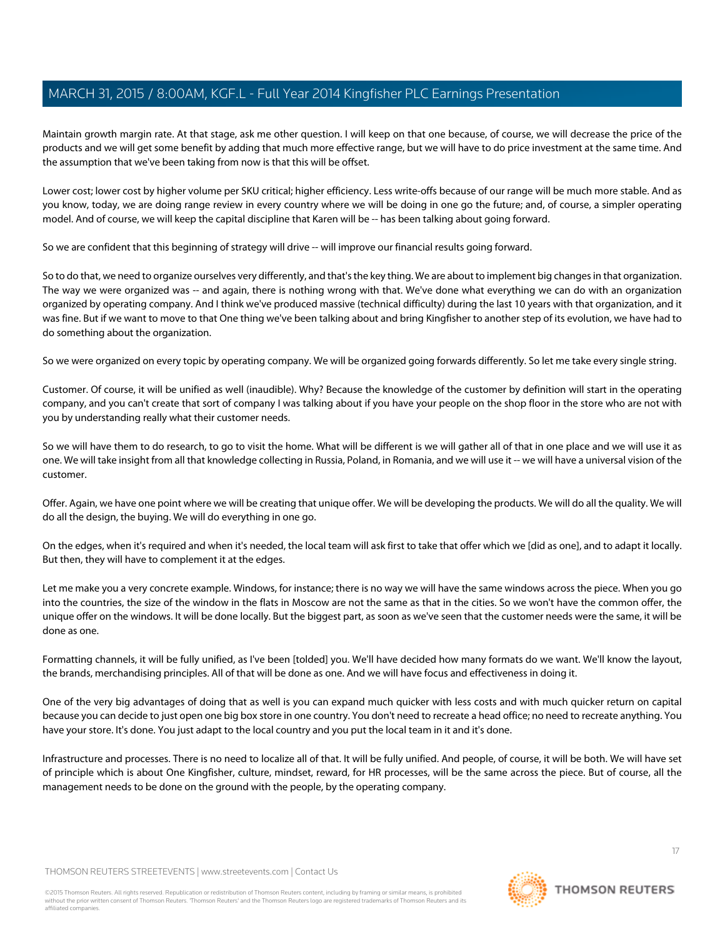Maintain growth margin rate. At that stage, ask me other question. I will keep on that one because, of course, we will decrease the price of the products and we will get some benefit by adding that much more effective range, but we will have to do price investment at the same time. And the assumption that we've been taking from now is that this will be offset.

Lower cost; lower cost by higher volume per SKU critical; higher efficiency. Less write-offs because of our range will be much more stable. And as you know, today, we are doing range review in every country where we will be doing in one go the future; and, of course, a simpler operating model. And of course, we will keep the capital discipline that Karen will be -- has been talking about going forward.

So we are confident that this beginning of strategy will drive -- will improve our financial results going forward.

So to do that, we need to organize ourselves very differently, and that's the key thing. We are about to implement big changes in that organization. The way we were organized was -- and again, there is nothing wrong with that. We've done what everything we can do with an organization organized by operating company. And I think we've produced massive (technical difficulty) during the last 10 years with that organization, and it was fine. But if we want to move to that One thing we've been talking about and bring Kingfisher to another step of its evolution, we have had to do something about the organization.

So we were organized on every topic by operating company. We will be organized going forwards differently. So let me take every single string.

Customer. Of course, it will be unified as well (inaudible). Why? Because the knowledge of the customer by definition will start in the operating company, and you can't create that sort of company I was talking about if you have your people on the shop floor in the store who are not with you by understanding really what their customer needs.

So we will have them to do research, to go to visit the home. What will be different is we will gather all of that in one place and we will use it as one. We will take insight from all that knowledge collecting in Russia, Poland, in Romania, and we will use it -- we will have a universal vision of the customer.

Offer. Again, we have one point where we will be creating that unique offer. We will be developing the products. We will do all the quality. We will do all the design, the buying. We will do everything in one go.

On the edges, when it's required and when it's needed, the local team will ask first to take that offer which we [did as one], and to adapt it locally. But then, they will have to complement it at the edges.

Let me make you a very concrete example. Windows, for instance; there is no way we will have the same windows across the piece. When you go into the countries, the size of the window in the flats in Moscow are not the same as that in the cities. So we won't have the common offer, the unique offer on the windows. It will be done locally. But the biggest part, as soon as we've seen that the customer needs were the same, it will be done as one.

Formatting channels, it will be fully unified, as I've been [tolded] you. We'll have decided how many formats do we want. We'll know the layout, the brands, merchandising principles. All of that will be done as one. And we will have focus and effectiveness in doing it.

One of the very big advantages of doing that as well is you can expand much quicker with less costs and with much quicker return on capital because you can decide to just open one big box store in one country. You don't need to recreate a head office; no need to recreate anything. You have your store. It's done. You just adapt to the local country and you put the local team in it and it's done.

Infrastructure and processes. There is no need to localize all of that. It will be fully unified. And people, of course, it will be both. We will have set of principle which is about One Kingfisher, culture, mindset, reward, for HR processes, will be the same across the piece. But of course, all the management needs to be done on the ground with the people, by the operating company.

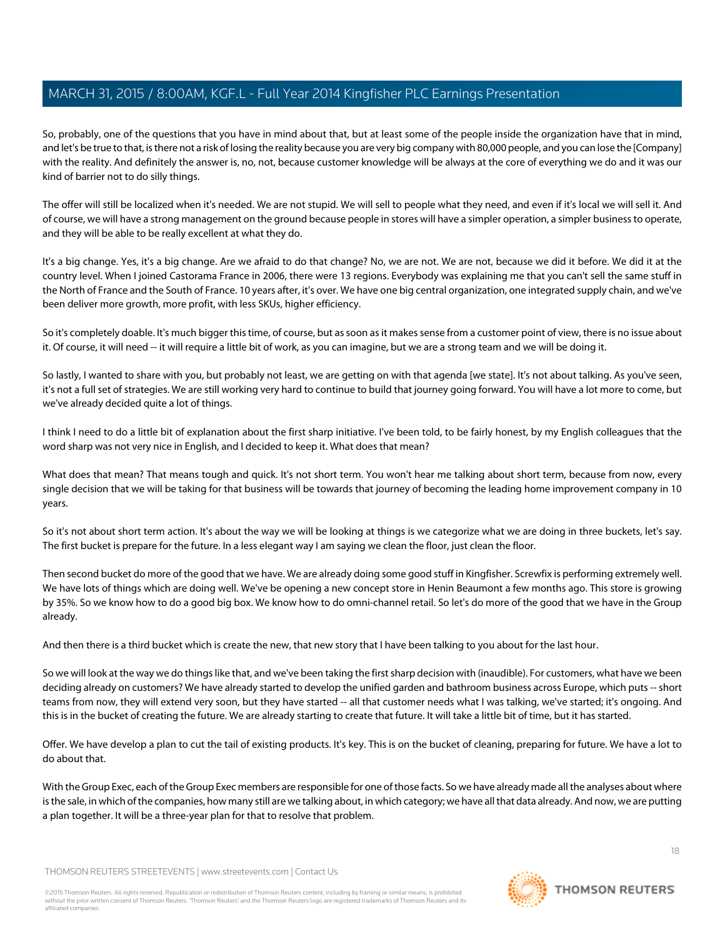So, probably, one of the questions that you have in mind about that, but at least some of the people inside the organization have that in mind, and let's be true to that, is there not a risk of losing the reality because you are very big company with 80,000 people, and you can lose the [Company] with the reality. And definitely the answer is, no, not, because customer knowledge will be always at the core of everything we do and it was our kind of barrier not to do silly things.

The offer will still be localized when it's needed. We are not stupid. We will sell to people what they need, and even if it's local we will sell it. And of course, we will have a strong management on the ground because people in stores will have a simpler operation, a simpler business to operate, and they will be able to be really excellent at what they do.

It's a big change. Yes, it's a big change. Are we afraid to do that change? No, we are not. We are not, because we did it before. We did it at the country level. When I joined Castorama France in 2006, there were 13 regions. Everybody was explaining me that you can't sell the same stuff in the North of France and the South of France. 10 years after, it's over. We have one big central organization, one integrated supply chain, and we've been deliver more growth, more profit, with less SKUs, higher efficiency.

So it's completely doable. It's much bigger this time, of course, but as soon as it makes sense from a customer point of view, there is no issue about it. Of course, it will need -- it will require a little bit of work, as you can imagine, but we are a strong team and we will be doing it.

So lastly, I wanted to share with you, but probably not least, we are getting on with that agenda [we state]. It's not about talking. As you've seen, it's not a full set of strategies. We are still working very hard to continue to build that journey going forward. You will have a lot more to come, but we've already decided quite a lot of things.

I think I need to do a little bit of explanation about the first sharp initiative. I've been told, to be fairly honest, by my English colleagues that the word sharp was not very nice in English, and I decided to keep it. What does that mean?

What does that mean? That means tough and quick. It's not short term. You won't hear me talking about short term, because from now, every single decision that we will be taking for that business will be towards that journey of becoming the leading home improvement company in 10 years.

So it's not about short term action. It's about the way we will be looking at things is we categorize what we are doing in three buckets, let's say. The first bucket is prepare for the future. In a less elegant way I am saying we clean the floor, just clean the floor.

Then second bucket do more of the good that we have. We are already doing some good stuff in Kingfisher. Screwfix is performing extremely well. We have lots of things which are doing well. We've be opening a new concept store in Henin Beaumont a few months ago. This store is growing by 35%. So we know how to do a good big box. We know how to do omni-channel retail. So let's do more of the good that we have in the Group already.

And then there is a third bucket which is create the new, that new story that I have been talking to you about for the last hour.

So we will look at the way we do things like that, and we've been taking the first sharp decision with (inaudible). For customers, what have we been deciding already on customers? We have already started to develop the unified garden and bathroom business across Europe, which puts -- short teams from now, they will extend very soon, but they have started -- all that customer needs what I was talking, we've started; it's ongoing. And this is in the bucket of creating the future. We are already starting to create that future. It will take a little bit of time, but it has started.

Offer. We have develop a plan to cut the tail of existing products. It's key. This is on the bucket of cleaning, preparing for future. We have a lot to do about that.

With the Group Exec, each of the Group Exec members are responsible for one of those facts. So we have already made all the analyses about where is the sale, in which of the companies, how many still are we talking about, in which category; we have all that data already. And now, we are putting a plan together. It will be a three-year plan for that to resolve that problem.

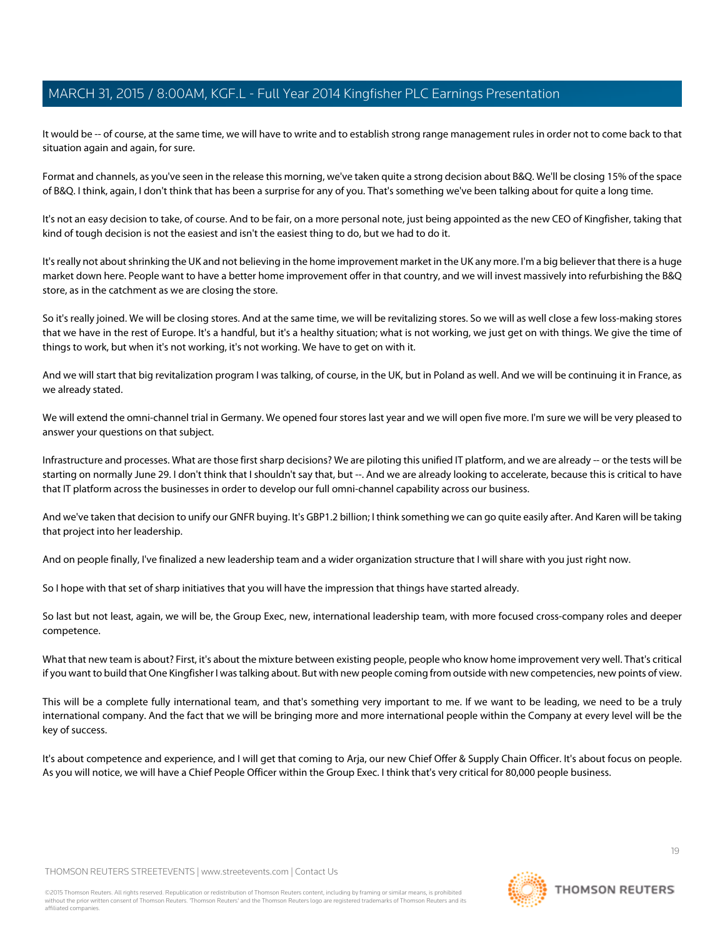It would be -- of course, at the same time, we will have to write and to establish strong range management rules in order not to come back to that situation again and again, for sure.

Format and channels, as you've seen in the release this morning, we've taken quite a strong decision about B&Q. We'll be closing 15% of the space of B&Q. I think, again, I don't think that has been a surprise for any of you. That's something we've been talking about for quite a long time.

It's not an easy decision to take, of course. And to be fair, on a more personal note, just being appointed as the new CEO of Kingfisher, taking that kind of tough decision is not the easiest and isn't the easiest thing to do, but we had to do it.

It's really not about shrinking the UK and not believing in the home improvement market in the UK any more. I'm a big believer that there is a huge market down here. People want to have a better home improvement offer in that country, and we will invest massively into refurbishing the B&Q store, as in the catchment as we are closing the store.

So it's really joined. We will be closing stores. And at the same time, we will be revitalizing stores. So we will as well close a few loss-making stores that we have in the rest of Europe. It's a handful, but it's a healthy situation; what is not working, we just get on with things. We give the time of things to work, but when it's not working, it's not working. We have to get on with it.

And we will start that big revitalization program I was talking, of course, in the UK, but in Poland as well. And we will be continuing it in France, as we already stated.

We will extend the omni-channel trial in Germany. We opened four stores last year and we will open five more. I'm sure we will be very pleased to answer your questions on that subject.

Infrastructure and processes. What are those first sharp decisions? We are piloting this unified IT platform, and we are already -- or the tests will be starting on normally June 29. I don't think that I shouldn't say that, but --. And we are already looking to accelerate, because this is critical to have that IT platform across the businesses in order to develop our full omni-channel capability across our business.

And we've taken that decision to unify our GNFR buying. It's GBP1.2 billion; I think something we can go quite easily after. And Karen will be taking that project into her leadership.

And on people finally, I've finalized a new leadership team and a wider organization structure that I will share with you just right now.

So I hope with that set of sharp initiatives that you will have the impression that things have started already.

So last but not least, again, we will be, the Group Exec, new, international leadership team, with more focused cross-company roles and deeper competence.

What that new team is about? First, it's about the mixture between existing people, people who know home improvement very well. That's critical if you want to build that One Kingfisher I was talking about. But with new people coming from outside with new competencies, new points of view.

This will be a complete fully international team, and that's something very important to me. If we want to be leading, we need to be a truly international company. And the fact that we will be bringing more and more international people within the Company at every level will be the key of success.

It's about competence and experience, and I will get that coming to Arja, our new Chief Offer & Supply Chain Officer. It's about focus on people. As you will notice, we will have a Chief People Officer within the Group Exec. I think that's very critical for 80,000 people business.

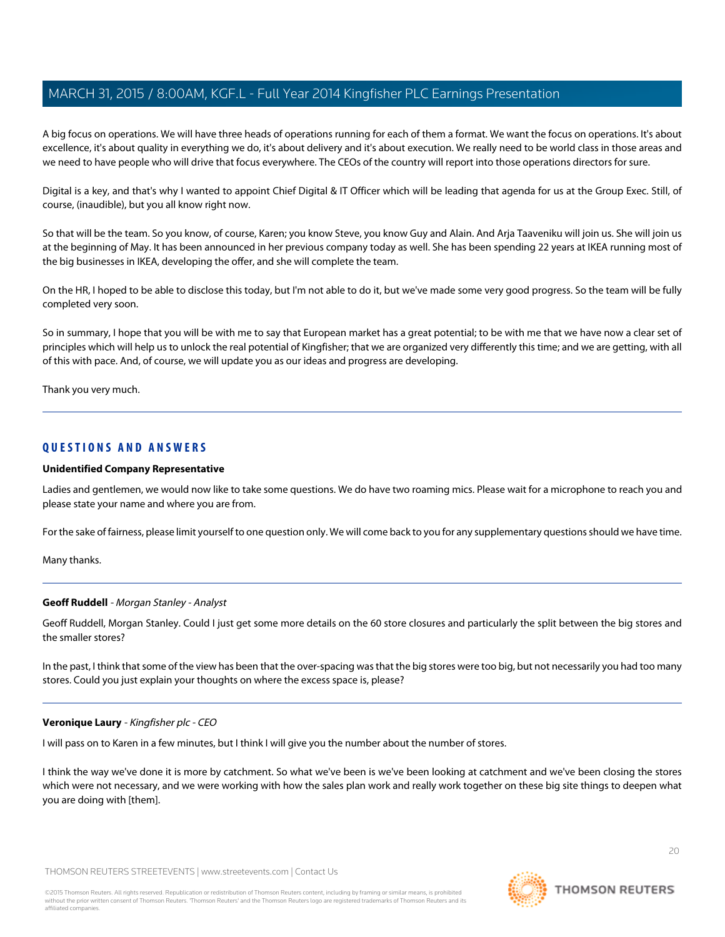A big focus on operations. We will have three heads of operations running for each of them a format. We want the focus on operations. It's about excellence, it's about quality in everything we do, it's about delivery and it's about execution. We really need to be world class in those areas and we need to have people who will drive that focus everywhere. The CEOs of the country will report into those operations directors for sure.

Digital is a key, and that's why I wanted to appoint Chief Digital & IT Officer which will be leading that agenda for us at the Group Exec. Still, of course, (inaudible), but you all know right now.

So that will be the team. So you know, of course, Karen; you know Steve, you know Guy and Alain. And Arja Taaveniku will join us. She will join us at the beginning of May. It has been announced in her previous company today as well. She has been spending 22 years at IKEA running most of the big businesses in IKEA, developing the offer, and she will complete the team.

On the HR, I hoped to be able to disclose this today, but I'm not able to do it, but we've made some very good progress. So the team will be fully completed very soon.

So in summary, I hope that you will be with me to say that European market has a great potential; to be with me that we have now a clear set of principles which will help us to unlock the real potential of Kingfisher; that we are organized very differently this time; and we are getting, with all of this with pace. And, of course, we will update you as our ideas and progress are developing.

Thank you very much.

# **QUESTIONS AND ANSWERS**

#### **Unidentified Company Representative**

Ladies and gentlemen, we would now like to take some questions. We do have two roaming mics. Please wait for a microphone to reach you and please state your name and where you are from.

<span id="page-19-0"></span>For the sake of fairness, please limit yourself to one question only. We will come back to you for any supplementary questions should we have time.

Many thanks.

# **Geoff Ruddell** - Morgan Stanley - Analyst

Geoff Ruddell, Morgan Stanley. Could I just get some more details on the 60 store closures and particularly the split between the big stores and the smaller stores?

In the past, I think that some of the view has been that the over-spacing was that the big stores were too big, but not necessarily you had too many stores. Could you just explain your thoughts on where the excess space is, please?

#### **Veronique Laury** - Kingfisher plc - CEO

I will pass on to Karen in a few minutes, but I think I will give you the number about the number of stores.

I think the way we've done it is more by catchment. So what we've been is we've been looking at catchment and we've been closing the stores which were not necessary, and we were working with how the sales plan work and really work together on these big site things to deepen what you are doing with [them].



 $20$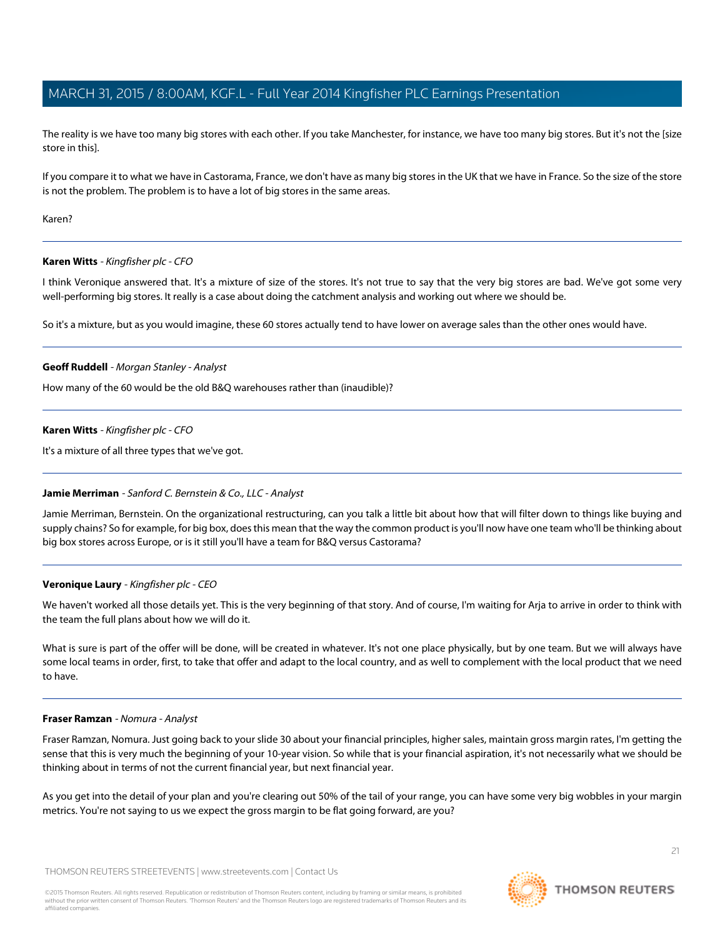The reality is we have too many big stores with each other. If you take Manchester, for instance, we have too many big stores. But it's not the [size store in this].

If you compare it to what we have in Castorama, France, we don't have as many big stores in the UK that we have in France. So the size of the store is not the problem. The problem is to have a lot of big stores in the same areas.

Karen?

## **Karen Witts** - Kingfisher plc - CFO

I think Veronique answered that. It's a mixture of size of the stores. It's not true to say that the very big stores are bad. We've got some very well-performing big stores. It really is a case about doing the catchment analysis and working out where we should be.

So it's a mixture, but as you would imagine, these 60 stores actually tend to have lower on average sales than the other ones would have.

## **Geoff Ruddell** - Morgan Stanley - Analyst

How many of the 60 would be the old B&Q warehouses rather than (inaudible)?

#### **Karen Witts** - Kingfisher plc - CFO

<span id="page-20-0"></span>It's a mixture of all three types that we've got.

#### **Jamie Merriman** - Sanford C. Bernstein & Co., LLC - Analyst

Jamie Merriman, Bernstein. On the organizational restructuring, can you talk a little bit about how that will filter down to things like buying and supply chains? So for example, for big box, does this mean that the way the common product is you'll now have one team who'll be thinking about big box stores across Europe, or is it still you'll have a team for B&Q versus Castorama?

#### **Veronique Laury** - Kingfisher plc - CEO

We haven't worked all those details yet. This is the very beginning of that story. And of course, I'm waiting for Arja to arrive in order to think with the team the full plans about how we will do it.

<span id="page-20-1"></span>What is sure is part of the offer will be done, will be created in whatever. It's not one place physically, but by one team. But we will always have some local teams in order, first, to take that offer and adapt to the local country, and as well to complement with the local product that we need to have.

#### **Fraser Ramzan** - Nomura - Analyst

Fraser Ramzan, Nomura. Just going back to your slide 30 about your financial principles, higher sales, maintain gross margin rates, I'm getting the sense that this is very much the beginning of your 10-year vision. So while that is your financial aspiration, it's not necessarily what we should be thinking about in terms of not the current financial year, but next financial year.

As you get into the detail of your plan and you're clearing out 50% of the tail of your range, you can have some very big wobbles in your margin metrics. You're not saying to us we expect the gross margin to be flat going forward, are you?



**THOMSON REUTERS**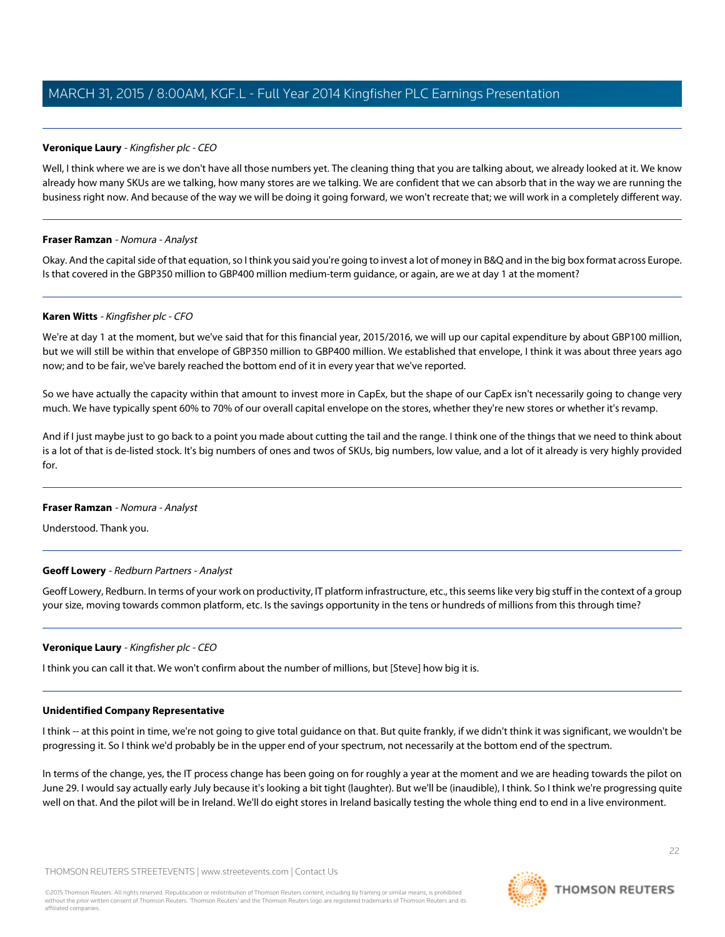# **Veronique Laury** - Kingfisher plc - CEO

Well, I think where we are is we don't have all those numbers yet. The cleaning thing that you are talking about, we already looked at it. We know already how many SKUs are we talking, how many stores are we talking. We are confident that we can absorb that in the way we are running the business right now. And because of the way we will be doing it going forward, we won't recreate that; we will work in a completely different way.

# **Fraser Ramzan** - Nomura - Analyst

Okay. And the capital side of that equation, so I think you said you're going to invest a lot of money in B&Q and in the big box format across Europe. Is that covered in the GBP350 million to GBP400 million medium-term guidance, or again, are we at day 1 at the moment?

## **Karen Witts** - Kingfisher plc - CFO

We're at day 1 at the moment, but we've said that for this financial year, 2015/2016, we will up our capital expenditure by about GBP100 million, but we will still be within that envelope of GBP350 million to GBP400 million. We established that envelope, I think it was about three years ago now; and to be fair, we've barely reached the bottom end of it in every year that we've reported.

So we have actually the capacity within that amount to invest more in CapEx, but the shape of our CapEx isn't necessarily going to change very much. We have typically spent 60% to 70% of our overall capital envelope on the stores, whether they're new stores or whether it's revamp.

And if I just maybe just to go back to a point you made about cutting the tail and the range. I think one of the things that we need to think about is a lot of that is de-listed stock. It's big numbers of ones and twos of SKUs, big numbers, low value, and a lot of it already is very highly provided for.

#### <span id="page-21-0"></span>**Fraser Ramzan** - Nomura - Analyst

Understood. Thank you.

# **Geoff Lowery** - Redburn Partners - Analyst

Geoff Lowery, Redburn. In terms of your work on productivity, IT platform infrastructure, etc., this seems like very big stuff in the context of a group your size, moving towards common platform, etc. Is the savings opportunity in the tens or hundreds of millions from this through time?

# **Veronique Laury** - Kingfisher plc - CEO

I think you can call it that. We won't confirm about the number of millions, but [Steve] how big it is.

#### **Unidentified Company Representative**

I think -- at this point in time, we're not going to give total guidance on that. But quite frankly, if we didn't think it was significant, we wouldn't be progressing it. So I think we'd probably be in the upper end of your spectrum, not necessarily at the bottom end of the spectrum.

In terms of the change, yes, the IT process change has been going on for roughly a year at the moment and we are heading towards the pilot on June 29. I would say actually early July because it's looking a bit tight (laughter). But we'll be (inaudible), I think. So I think we're progressing quite well on that. And the pilot will be in Ireland. We'll do eight stores in Ireland basically testing the whole thing end to end in a live environment.

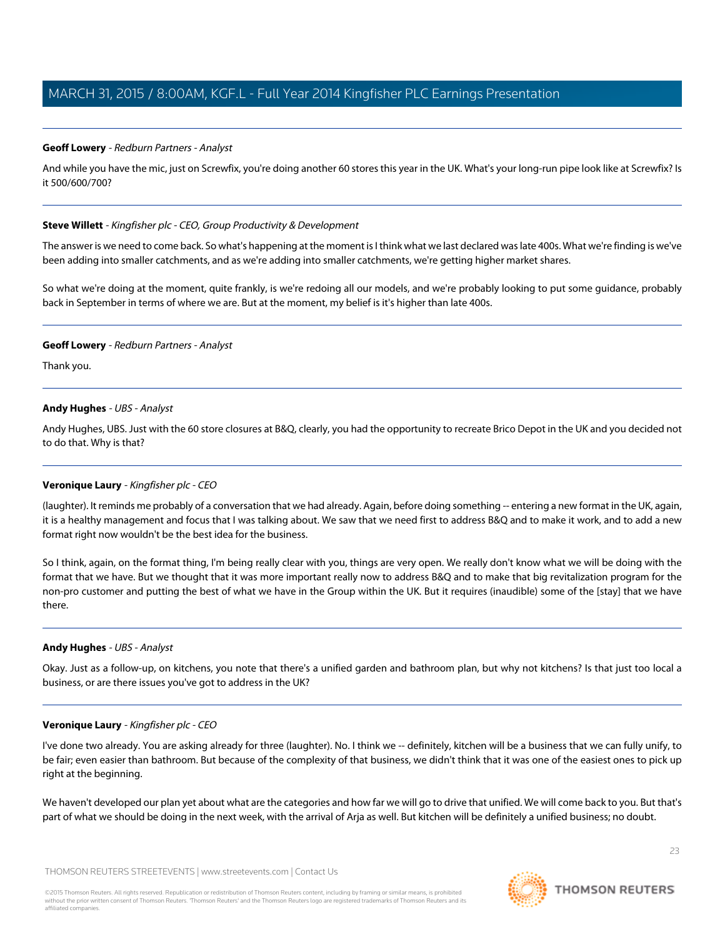# **Geoff Lowery** - Redburn Partners - Analyst

And while you have the mic, just on Screwfix, you're doing another 60 stores this year in the UK. What's your long-run pipe look like at Screwfix? Is it 500/600/700?

# <span id="page-22-0"></span>**Steve Willett** - Kingfisher plc - CEO, Group Productivity & Development

The answer is we need to come back. So what's happening at the moment is I think what we last declared was late 400s. What we're finding is we've been adding into smaller catchments, and as we're adding into smaller catchments, we're getting higher market shares.

So what we're doing at the moment, quite frankly, is we're redoing all our models, and we're probably looking to put some guidance, probably back in September in terms of where we are. But at the moment, my belief is it's higher than late 400s.

# **Geoff Lowery** - Redburn Partners - Analyst

<span id="page-22-1"></span>Thank you.

# **Andy Hughes** - UBS - Analyst

Andy Hughes, UBS. Just with the 60 store closures at B&Q, clearly, you had the opportunity to recreate Brico Depot in the UK and you decided not to do that. Why is that?

# **Veronique Laury** - Kingfisher plc - CEO

(laughter). It reminds me probably of a conversation that we had already. Again, before doing something -- entering a new format in the UK, again, it is a healthy management and focus that I was talking about. We saw that we need first to address B&Q and to make it work, and to add a new format right now wouldn't be the best idea for the business.

So I think, again, on the format thing, I'm being really clear with you, things are very open. We really don't know what we will be doing with the format that we have. But we thought that it was more important really now to address B&Q and to make that big revitalization program for the non-pro customer and putting the best of what we have in the Group within the UK. But it requires (inaudible) some of the [stay] that we have there.

# **Andy Hughes** - UBS - Analyst

Okay. Just as a follow-up, on kitchens, you note that there's a unified garden and bathroom plan, but why not kitchens? Is that just too local a business, or are there issues you've got to address in the UK?

# **Veronique Laury** - Kingfisher plc - CEO

I've done two already. You are asking already for three (laughter). No. I think we -- definitely, kitchen will be a business that we can fully unify, to be fair; even easier than bathroom. But because of the complexity of that business, we didn't think that it was one of the easiest ones to pick up right at the beginning.

We haven't developed our plan yet about what are the categories and how far we will go to drive that unified. We will come back to you. But that's part of what we should be doing in the next week, with the arrival of Arja as well. But kitchen will be definitely a unified business; no doubt.

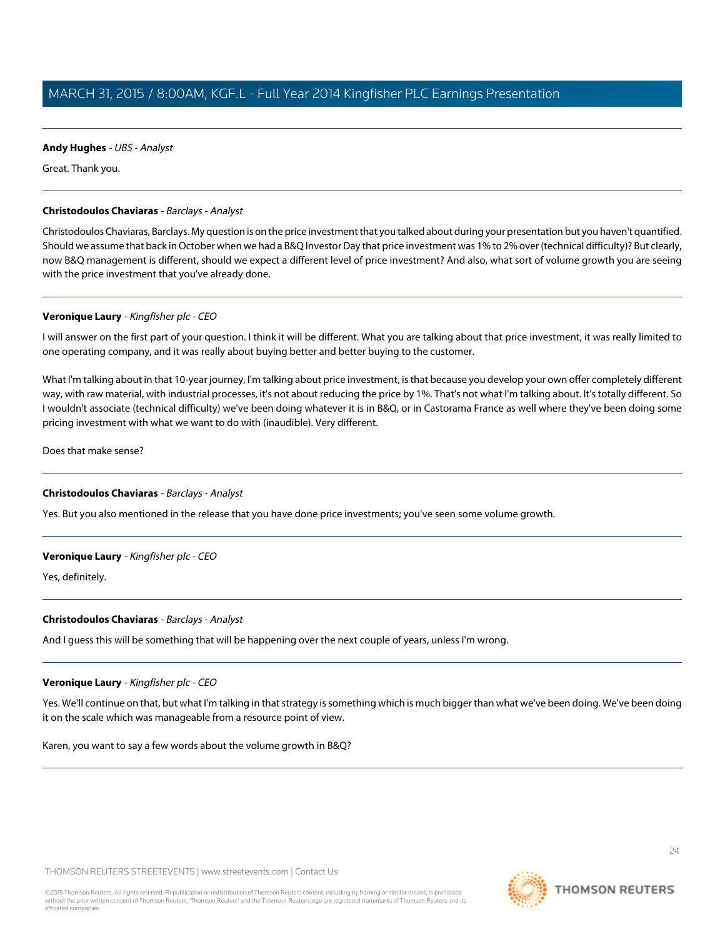# **Andy Hughes** - UBS - Analyst

Great. Thank you.

# <span id="page-23-0"></span>**Christodoulos Chaviaras** - Barclays - Analyst

Christodoulos Chaviaras, Barclays. My question is on the price investment that you talked about during your presentation but you haven't quantified. Should we assume that back in October when we had a B&Q Investor Day that price investment was 1% to 2% over (technical difficulty)? But clearly, now B&Q management is different, should we expect a different level of price investment? And also, what sort of volume growth you are seeing with the price investment that you've already done.

# **Veronique Laury** - Kingfisher plc - CEO

I will answer on the first part of your question. I think it will be different. What you are talking about that price investment, it was really limited to one operating company, and it was really about buying better and better buying to the customer.

What I'm talking about in that 10-year journey, I'm talking about price investment, is that because you develop your own offer completely different way, with raw material, with industrial processes, it's not about reducing the price by 1%. That's not what I'm talking about. It's totally different. So I wouldn't associate (technical difficulty) we've been doing whatever it is in B&Q, or in Castorama France as well where they've been doing some pricing investment with what we want to do with (inaudible). Very different.

Does that make sense?

# **Christodoulos Chaviaras** - Barclays - Analyst

Yes. But you also mentioned in the release that you have done price investments; you've seen some volume growth.

# **Veronique Laury** - Kingfisher plc - CEO

Yes, definitely.

# **Christodoulos Chaviaras** - Barclays - Analyst

And I guess this will be something that will be happening over the next couple of years, unless I'm wrong.

# **Veronique Laury** - Kingfisher plc - CEO

Yes. We'll continue on that, but what I'm talking in that strategy is something which is much bigger than what we've been doing. We've been doing it on the scale which was manageable from a resource point of view.

Karen, you want to say a few words about the volume growth in B&Q?

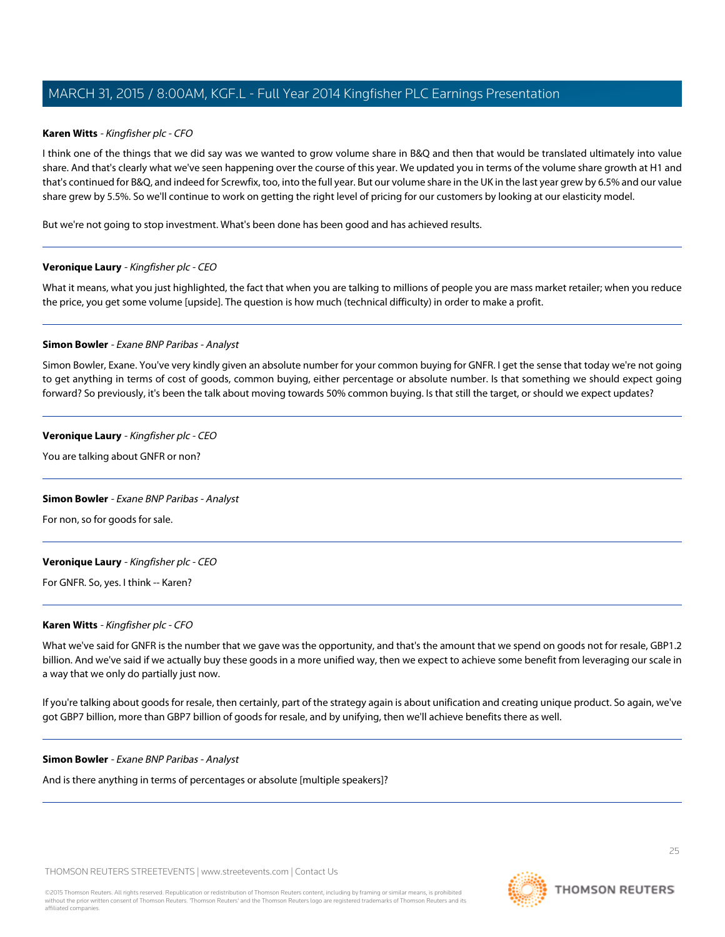## **Karen Witts** - Kingfisher plc - CFO

I think one of the things that we did say was we wanted to grow volume share in B&Q and then that would be translated ultimately into value share. And that's clearly what we've seen happening over the course of this year. We updated you in terms of the volume share growth at H1 and that's continued for B&Q, and indeed for Screwfix, too, into the full year. But our volume share in the UK in the last year grew by 6.5% and our value share grew by 5.5%. So we'll continue to work on getting the right level of pricing for our customers by looking at our elasticity model.

But we're not going to stop investment. What's been done has been good and has achieved results.

## **Veronique Laury** - Kingfisher plc - CEO

<span id="page-24-0"></span>What it means, what you just highlighted, the fact that when you are talking to millions of people you are mass market retailer; when you reduce the price, you get some volume [upside]. The question is how much (technical difficulty) in order to make a profit.

#### **Simon Bowler** - Exane BNP Paribas - Analyst

Simon Bowler, Exane. You've very kindly given an absolute number for your common buying for GNFR. I get the sense that today we're not going to get anything in terms of cost of goods, common buying, either percentage or absolute number. Is that something we should expect going forward? So previously, it's been the talk about moving towards 50% common buying. Is that still the target, or should we expect updates?

#### **Veronique Laury** - Kingfisher plc - CEO

You are talking about GNFR or non?

# **Simon Bowler** - Exane BNP Paribas - Analyst

For non, so for goods for sale.

# **Veronique Laury** - Kingfisher plc - CEO

For GNFR. So, yes. I think -- Karen?

#### **Karen Witts** - Kingfisher plc - CFO

What we've said for GNFR is the number that we gave was the opportunity, and that's the amount that we spend on goods not for resale, GBP1.2 billion. And we've said if we actually buy these goods in a more unified way, then we expect to achieve some benefit from leveraging our scale in a way that we only do partially just now.

If you're talking about goods for resale, then certainly, part of the strategy again is about unification and creating unique product. So again, we've got GBP7 billion, more than GBP7 billion of goods for resale, and by unifying, then we'll achieve benefits there as well.

#### **Simon Bowler** - Exane BNP Paribas - Analyst

And is there anything in terms of percentages or absolute [multiple speakers]?

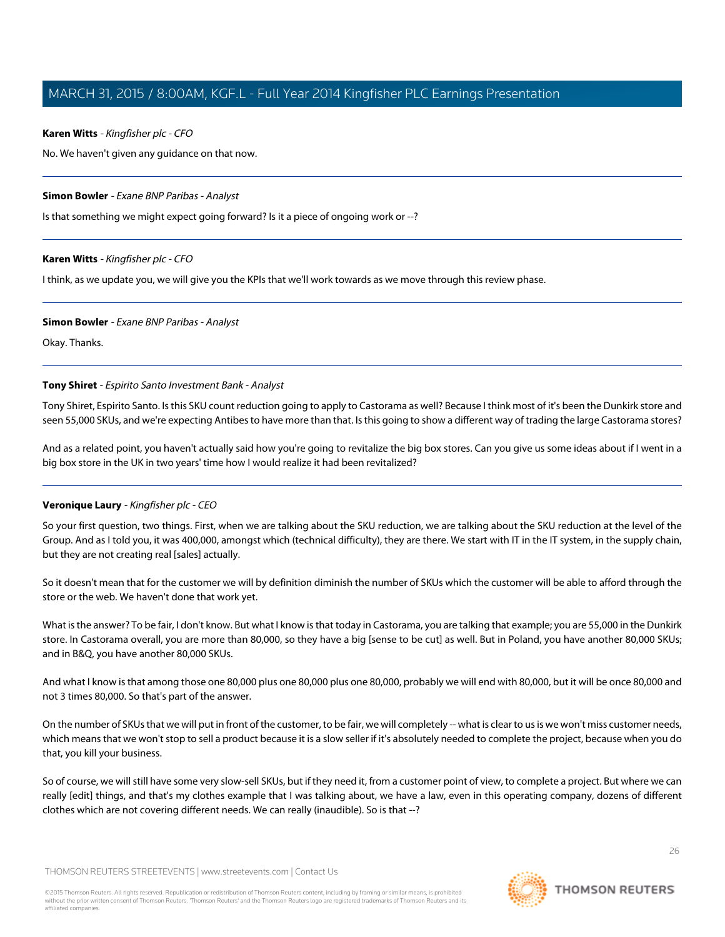# **Karen Witts** - Kingfisher plc - CFO

No. We haven't given any guidance on that now.

# **Simon Bowler** - Exane BNP Paribas - Analyst

Is that something we might expect going forward? Is it a piece of ongoing work or --?

# **Karen Witts** - Kingfisher plc - CFO

I think, as we update you, we will give you the KPIs that we'll work towards as we move through this review phase.

# **Simon Bowler** - Exane BNP Paribas - Analyst

<span id="page-25-0"></span>Okay. Thanks.

# **Tony Shiret** - Espirito Santo Investment Bank - Analyst

Tony Shiret, Espirito Santo. Is this SKU count reduction going to apply to Castorama as well? Because I think most of it's been the Dunkirk store and seen 55,000 SKUs, and we're expecting Antibes to have more than that. Is this going to show a different way of trading the large Castorama stores?

And as a related point, you haven't actually said how you're going to revitalize the big box stores. Can you give us some ideas about if I went in a big box store in the UK in two years' time how I would realize it had been revitalized?

# **Veronique Laury** - Kingfisher plc - CEO

So your first question, two things. First, when we are talking about the SKU reduction, we are talking about the SKU reduction at the level of the Group. And as I told you, it was 400,000, amongst which (technical difficulty), they are there. We start with IT in the IT system, in the supply chain, but they are not creating real [sales] actually.

So it doesn't mean that for the customer we will by definition diminish the number of SKUs which the customer will be able to afford through the store or the web. We haven't done that work yet.

What is the answer? To be fair, I don't know. But what I know is that today in Castorama, you are talking that example; you are 55,000 in the Dunkirk store. In Castorama overall, you are more than 80,000, so they have a big [sense to be cut] as well. But in Poland, you have another 80,000 SKUs; and in B&Q, you have another 80,000 SKUs.

And what I know is that among those one 80,000 plus one 80,000 plus one 80,000, probably we will end with 80,000, but it will be once 80,000 and not 3 times 80,000. So that's part of the answer.

On the number of SKUs that we will put in front of the customer, to be fair, we will completely -- what is clear to us is we won't miss customer needs, which means that we won't stop to sell a product because it is a slow seller if it's absolutely needed to complete the project, because when you do that, you kill your business.

So of course, we will still have some very slow-sell SKUs, but if they need it, from a customer point of view, to complete a project. But where we can really [edit] things, and that's my clothes example that I was talking about, we have a law, even in this operating company, dozens of different clothes which are not covering different needs. We can really (inaudible). So is that --?

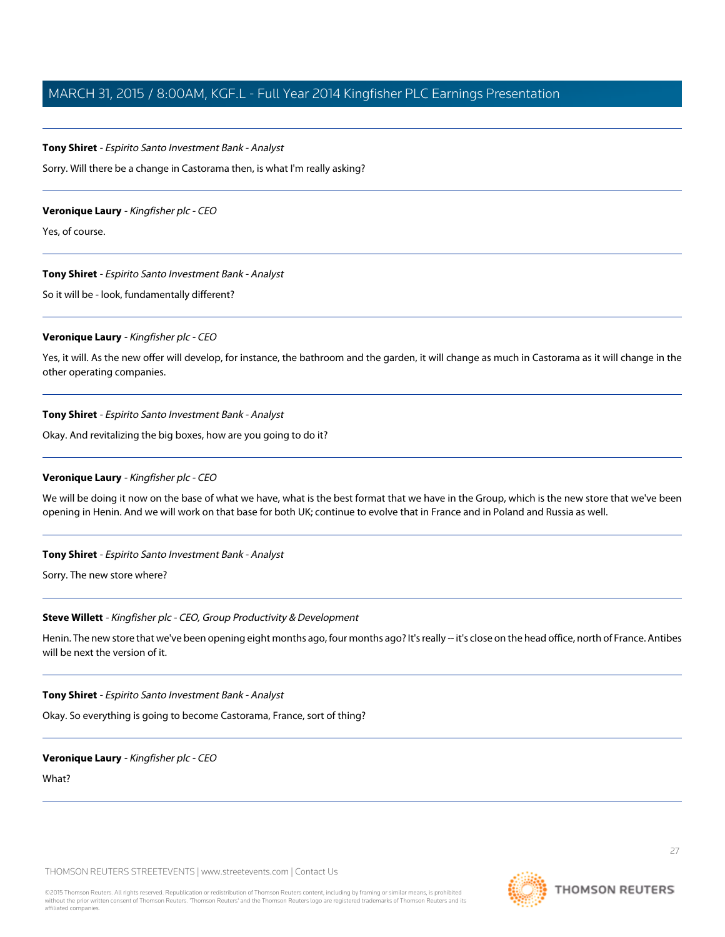#### **Tony Shiret** - Espirito Santo Investment Bank - Analyst

Sorry. Will there be a change in Castorama then, is what I'm really asking?

#### **Veronique Laury** - Kingfisher plc - CEO

Yes, of course.

#### **Tony Shiret** - Espirito Santo Investment Bank - Analyst

So it will be - look, fundamentally different?

#### **Veronique Laury** - Kingfisher plc - CEO

Yes, it will. As the new offer will develop, for instance, the bathroom and the garden, it will change as much in Castorama as it will change in the other operating companies.

#### **Tony Shiret** - Espirito Santo Investment Bank - Analyst

Okay. And revitalizing the big boxes, how are you going to do it?

#### **Veronique Laury** - Kingfisher plc - CEO

We will be doing it now on the base of what we have, what is the best format that we have in the Group, which is the new store that we've been opening in Henin. And we will work on that base for both UK; continue to evolve that in France and in Poland and Russia as well.

#### **Tony Shiret** - Espirito Santo Investment Bank - Analyst

Sorry. The new store where?

#### **Steve Willett** - Kingfisher plc - CEO, Group Productivity & Development

Henin. The new store that we've been opening eight months ago, four months ago? It's really -- it's close on the head office, north of France. Antibes will be next the version of it.

#### **Tony Shiret** - Espirito Santo Investment Bank - Analyst

Okay. So everything is going to become Castorama, France, sort of thing?

#### **Veronique Laury** - Kingfisher plc - CEO

What?

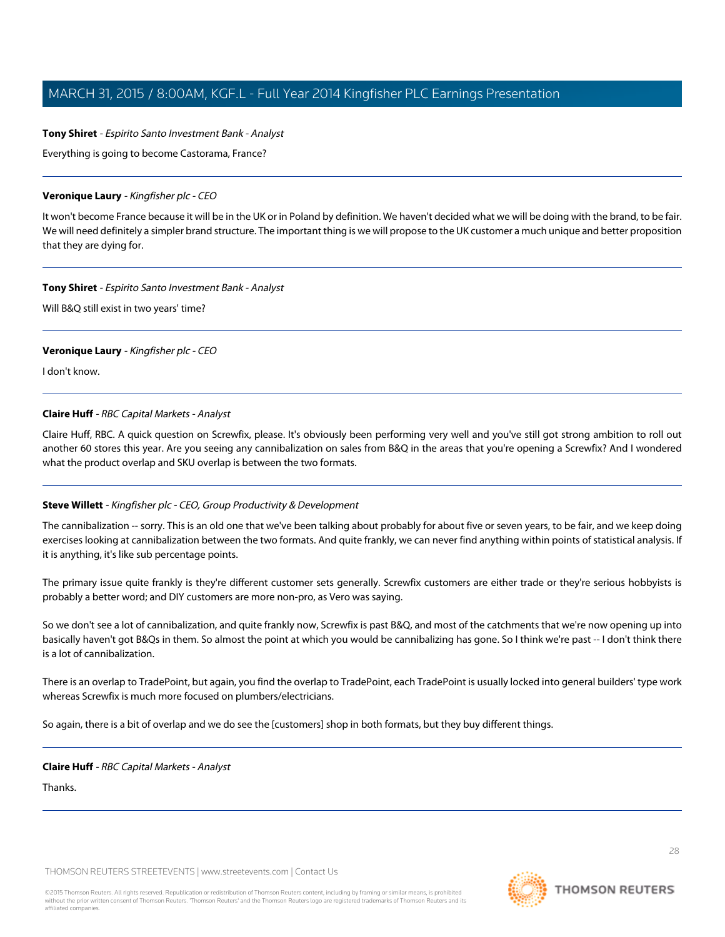## **Tony Shiret** - Espirito Santo Investment Bank - Analyst

Everything is going to become Castorama, France?

#### **Veronique Laury** - Kingfisher plc - CEO

It won't become France because it will be in the UK or in Poland by definition. We haven't decided what we will be doing with the brand, to be fair. We will need definitely a simpler brand structure. The important thing is we will propose to the UK customer a much unique and better proposition that they are dying for.

## **Tony Shiret** - Espirito Santo Investment Bank - Analyst

Will B&Q still exist in two years' time?

## **Veronique Laury** - Kingfisher plc - CEO

<span id="page-27-0"></span>I don't know.

# **Claire Huff** - RBC Capital Markets - Analyst

Claire Huff, RBC. A quick question on Screwfix, please. It's obviously been performing very well and you've still got strong ambition to roll out another 60 stores this year. Are you seeing any cannibalization on sales from B&Q in the areas that you're opening a Screwfix? And I wondered what the product overlap and SKU overlap is between the two formats.

# **Steve Willett** - Kingfisher plc - CEO, Group Productivity & Development

The cannibalization -- sorry. This is an old one that we've been talking about probably for about five or seven years, to be fair, and we keep doing exercises looking at cannibalization between the two formats. And quite frankly, we can never find anything within points of statistical analysis. If it is anything, it's like sub percentage points.

The primary issue quite frankly is they're different customer sets generally. Screwfix customers are either trade or they're serious hobbyists is probably a better word; and DIY customers are more non-pro, as Vero was saying.

So we don't see a lot of cannibalization, and quite frankly now, Screwfix is past B&Q, and most of the catchments that we're now opening up into basically haven't got B&Qs in them. So almost the point at which you would be cannibalizing has gone. So I think we're past -- I don't think there is a lot of cannibalization.

There is an overlap to TradePoint, but again, you find the overlap to TradePoint, each TradePoint is usually locked into general builders' type work whereas Screwfix is much more focused on plumbers/electricians.

So again, there is a bit of overlap and we do see the [customers] shop in both formats, but they buy different things.

# **Claire Huff** - RBC Capital Markets - Analyst

Thanks.

THOMSON REUTERS STREETEVENTS | [www.streetevents.com](http://www.streetevents.com) | [Contact Us](http://www010.streetevents.com/contact.asp)

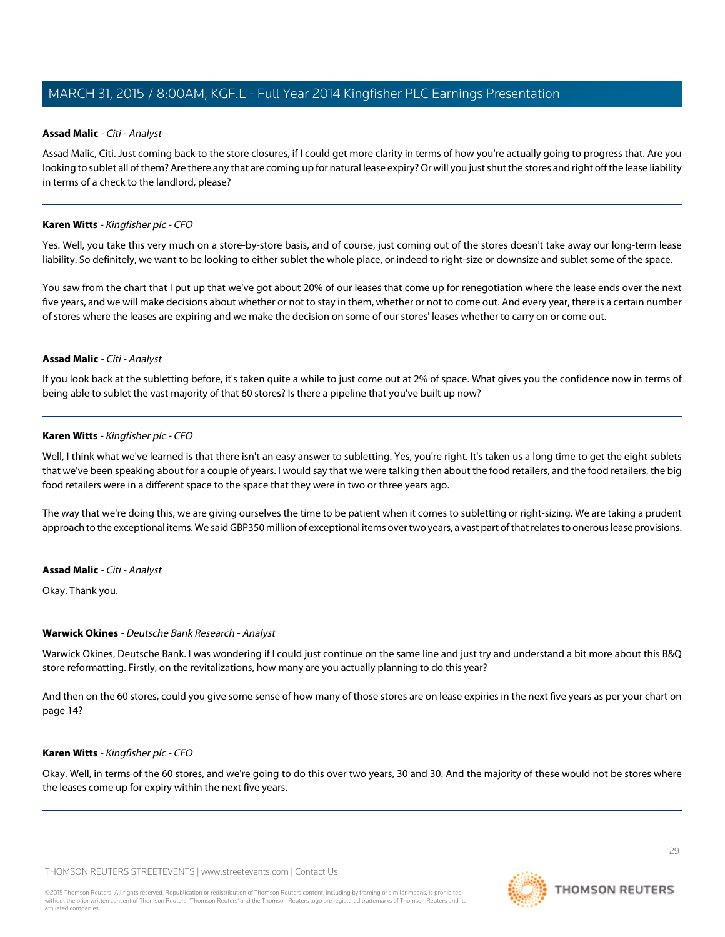## <span id="page-28-0"></span>**Assad Malic** - Citi - Analyst

Assad Malic, Citi. Just coming back to the store closures, if I could get more clarity in terms of how you're actually going to progress that. Are you looking to sublet all of them? Are there any that are coming up for natural lease expiry? Or will you just shut the stores and right off the lease liability in terms of a check to the landlord, please?

## **Karen Witts** - Kingfisher plc - CFO

Yes. Well, you take this very much on a store-by-store basis, and of course, just coming out of the stores doesn't take away our long-term lease liability. So definitely, we want to be looking to either sublet the whole place, or indeed to right-size or downsize and sublet some of the space.

You saw from the chart that I put up that we've got about 20% of our leases that come up for renegotiation where the lease ends over the next five years, and we will make decisions about whether or not to stay in them, whether or not to come out. And every year, there is a certain number of stores where the leases are expiring and we make the decision on some of our stores' leases whether to carry on or come out.

## **Assad Malic** - Citi - Analyst

If you look back at the subletting before, it's taken quite a while to just come out at 2% of space. What gives you the confidence now in terms of being able to sublet the vast majority of that 60 stores? Is there a pipeline that you've built up now?

## **Karen Witts** - Kingfisher plc - CFO

Well, I think what we've learned is that there isn't an easy answer to subletting. Yes, you're right. It's taken us a long time to get the eight sublets that we've been speaking about for a couple of years. I would say that we were talking then about the food retailers, and the food retailers, the big food retailers were in a different space to the space that they were in two or three years ago.

The way that we're doing this, we are giving ourselves the time to be patient when it comes to subletting or right-sizing. We are taking a prudent approach to the exceptional items. We said GBP350 million of exceptional items over two years, a vast part of that relates to onerous lease provisions.

#### <span id="page-28-1"></span>**Assad Malic** - Citi - Analyst

Okay. Thank you.

#### **Warwick Okines** - Deutsche Bank Research - Analyst

Warwick Okines, Deutsche Bank. I was wondering if I could just continue on the same line and just try and understand a bit more about this B&Q store reformatting. Firstly, on the revitalizations, how many are you actually planning to do this year?

And then on the 60 stores, could you give some sense of how many of those stores are on lease expiries in the next five years as per your chart on page 14?

#### **Karen Witts** - Kingfisher plc - CFO

Okay. Well, in terms of the 60 stores, and we're going to do this over two years, 30 and 30. And the majority of these would not be stores where the leases come up for expiry within the next five years.

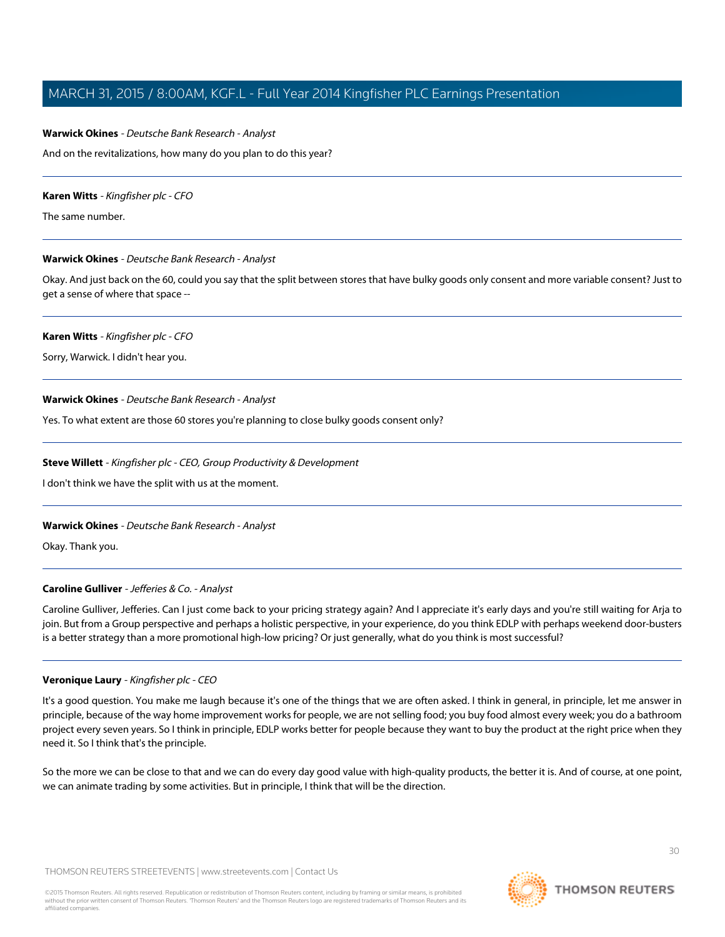## **Warwick Okines** - Deutsche Bank Research - Analyst

And on the revitalizations, how many do you plan to do this year?

#### **Karen Witts** - Kingfisher plc - CFO

The same number.

# **Warwick Okines** - Deutsche Bank Research - Analyst

Okay. And just back on the 60, could you say that the split between stores that have bulky goods only consent and more variable consent? Just to get a sense of where that space --

## **Karen Witts** - Kingfisher plc - CFO

Sorry, Warwick. I didn't hear you.

## **Warwick Okines** - Deutsche Bank Research - Analyst

Yes. To what extent are those 60 stores you're planning to close bulky goods consent only?

## **Steve Willett** - Kingfisher plc - CEO, Group Productivity & Development

I don't think we have the split with us at the moment.

# <span id="page-29-0"></span>**Warwick Okines** - Deutsche Bank Research - Analyst

Okay. Thank you.

# **Caroline Gulliver** - Jefferies & Co. - Analyst

Caroline Gulliver, Jefferies. Can I just come back to your pricing strategy again? And I appreciate it's early days and you're still waiting for Arja to join. But from a Group perspective and perhaps a holistic perspective, in your experience, do you think EDLP with perhaps weekend door-busters is a better strategy than a more promotional high-low pricing? Or just generally, what do you think is most successful?

# **Veronique Laury** - Kingfisher plc - CEO

It's a good question. You make me laugh because it's one of the things that we are often asked. I think in general, in principle, let me answer in principle, because of the way home improvement works for people, we are not selling food; you buy food almost every week; you do a bathroom project every seven years. So I think in principle, EDLP works better for people because they want to buy the product at the right price when they need it. So I think that's the principle.

So the more we can be close to that and we can do every day good value with high-quality products, the better it is. And of course, at one point, we can animate trading by some activities. But in principle, I think that will be the direction.

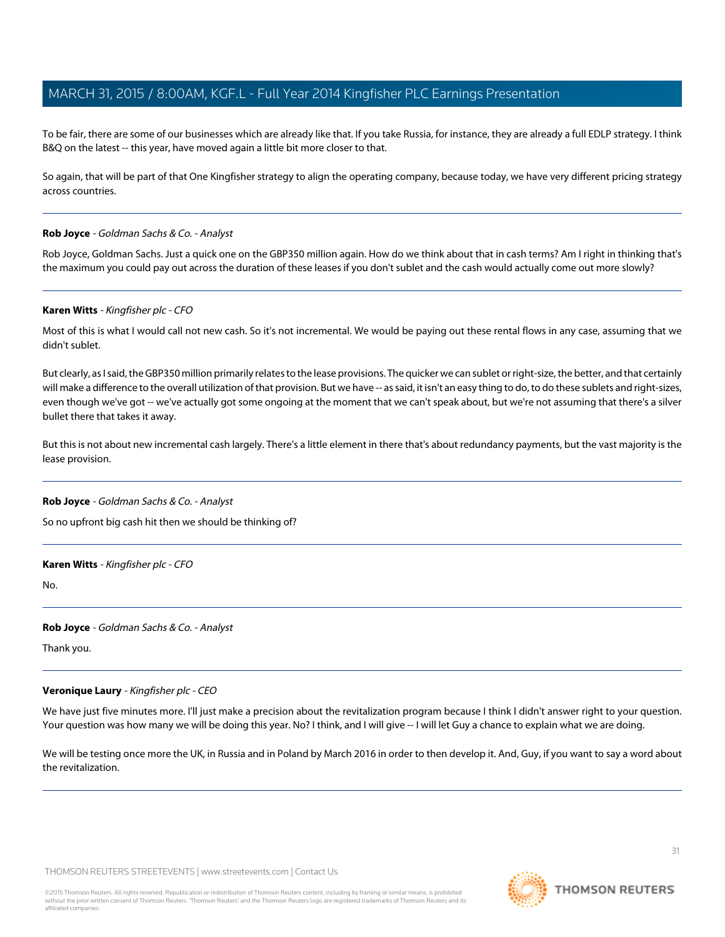To be fair, there are some of our businesses which are already like that. If you take Russia, for instance, they are already a full EDLP strategy. I think B&Q on the latest -- this year, have moved again a little bit more closer to that.

So again, that will be part of that One Kingfisher strategy to align the operating company, because today, we have very different pricing strategy across countries.

#### <span id="page-30-0"></span>**Rob Joyce** - Goldman Sachs & Co. - Analyst

Rob Joyce, Goldman Sachs. Just a quick one on the GBP350 million again. How do we think about that in cash terms? Am I right in thinking that's the maximum you could pay out across the duration of these leases if you don't sublet and the cash would actually come out more slowly?

#### **Karen Witts** - Kingfisher plc - CFO

Most of this is what I would call not new cash. So it's not incremental. We would be paying out these rental flows in any case, assuming that we didn't sublet.

But clearly, as I said, the GBP350 million primarily relates to the lease provisions. The quicker we can sublet or right-size, the better, and that certainly will make a difference to the overall utilization of that provision. But we have -- as said, it isn't an easy thing to do, to do these sublets and right-sizes, even though we've got -- we've actually got some ongoing at the moment that we can't speak about, but we're not assuming that there's a silver bullet there that takes it away.

But this is not about new incremental cash largely. There's a little element in there that's about redundancy payments, but the vast majority is the lease provision.

#### **Rob Joyce** - Goldman Sachs & Co. - Analyst

So no upfront big cash hit then we should be thinking of?

#### **Karen Witts** - Kingfisher plc - CFO

No.

#### **Rob Joyce** - Goldman Sachs & Co. - Analyst

Thank you.

# **Veronique Laury** - Kingfisher plc - CEO

We have just five minutes more. I'll just make a precision about the revitalization program because I think I didn't answer right to your question. Your question was how many we will be doing this year. No? I think, and I will give -- I will let Guy a chance to explain what we are doing.

We will be testing once more the UK, in Russia and in Poland by March 2016 in order to then develop it. And, Guy, if you want to say a word about the revitalization.